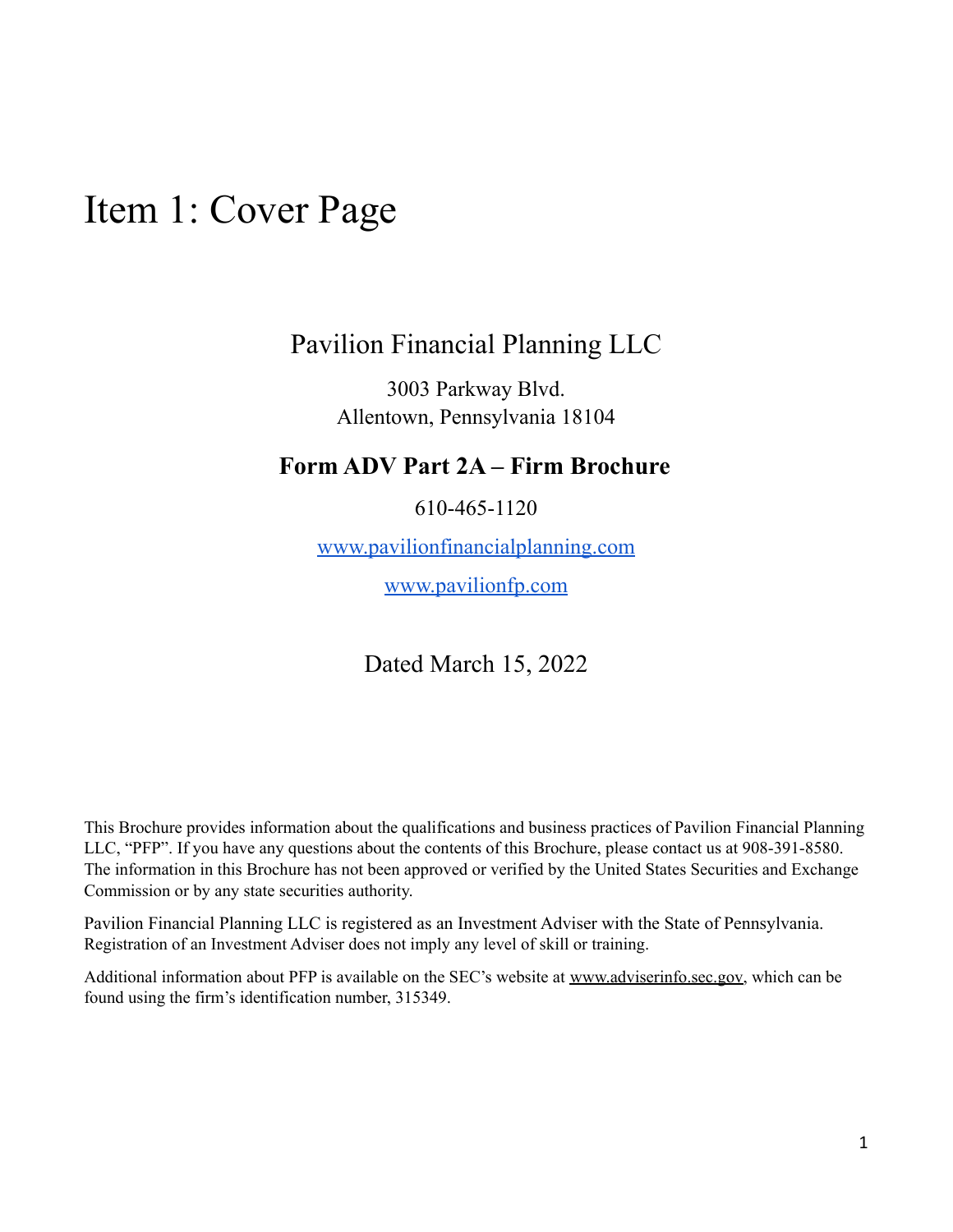## <span id="page-0-0"></span>Item 1: Cover Page

## Pavilion Financial Planning LLC

3003 Parkway Blvd. Allentown, Pennsylvania 18104

## **Form ADV Part 2A – Firm Brochure**

610-465-1120

[www.pavilionfinancialplanning.com](http://www.pavilionfinancialplanning.com)

[www.pavilionfp.com](http://www.pavilionfp.com)

## Dated March 15, 2022

This Brochure provides information about the qualifications and business practices of Pavilion Financial Planning LLC, "PFP". If you have any questions about the contents of this Brochure, please contact us at 908-391-8580. The information in this Brochure has not been approved or verified by the United States Securities and Exchange Commission or by any state securities authority.

Pavilion Financial Planning LLC is registered as an Investment Adviser with the State of Pennsylvania. Registration of an Investment Adviser does not imply any level of skill or training.

Additional information about PFP is available on the SEC's website at [www.adviserinfo.sec.gov,](http://www.adviserinfo.sec.gov) which can be found using the firm's identification number, 315349.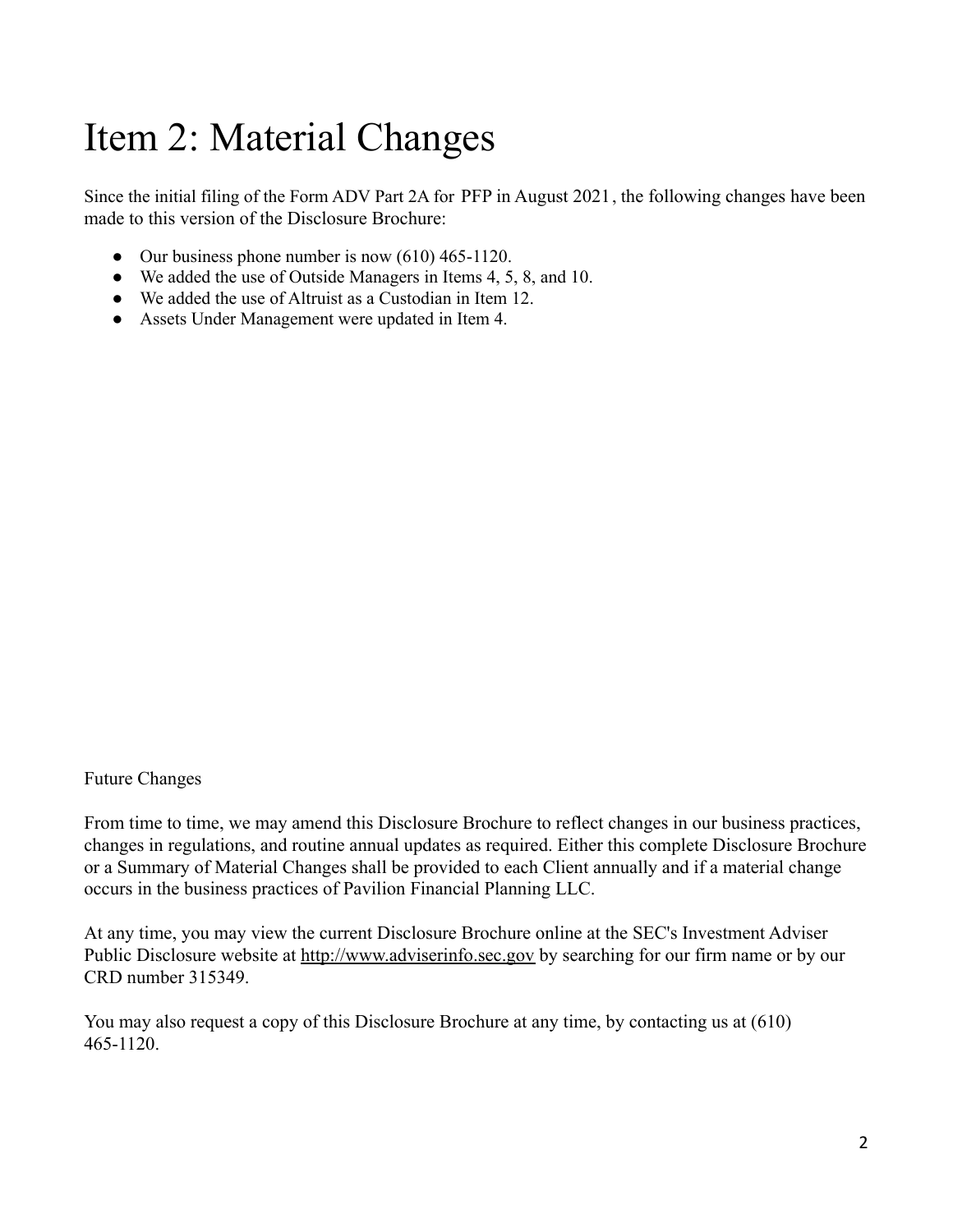# <span id="page-1-0"></span>Item 2: Material Changes

Since the initial filing of the Form ADV Part 2A for PFP in August 2021, the following changes have been made to this version of the Disclosure Brochure:

- Our business phone number is now  $(610)$  465-1120.
- We added the use of Outside Managers in Items 4, 5, 8, and 10.
- We added the use of Altruist as a Custodian in Item 12.
- Assets Under Management were updated in Item 4.

Future Changes

From time to time, we may amend this Disclosure Brochure to reflect changes in our business practices, changes in regulations, and routine annual updates as required. Either this complete Disclosure Brochure or a Summary of Material Changes shall be provided to each Client annually and if a material change occurs in the business practices of Pavilion Financial Planning LLC.

At any time, you may view the current Disclosure Brochure online at the SEC's Investment Adviser Public Disclosure website at [http://www.adviserinfo.sec.gov](http://www.adviserinfo.sec.gov/) by searching for our firm name or by our CRD number 315349.

You may also request a copy of this Disclosure Brochure at any time, by contacting us at (610) 465-1120.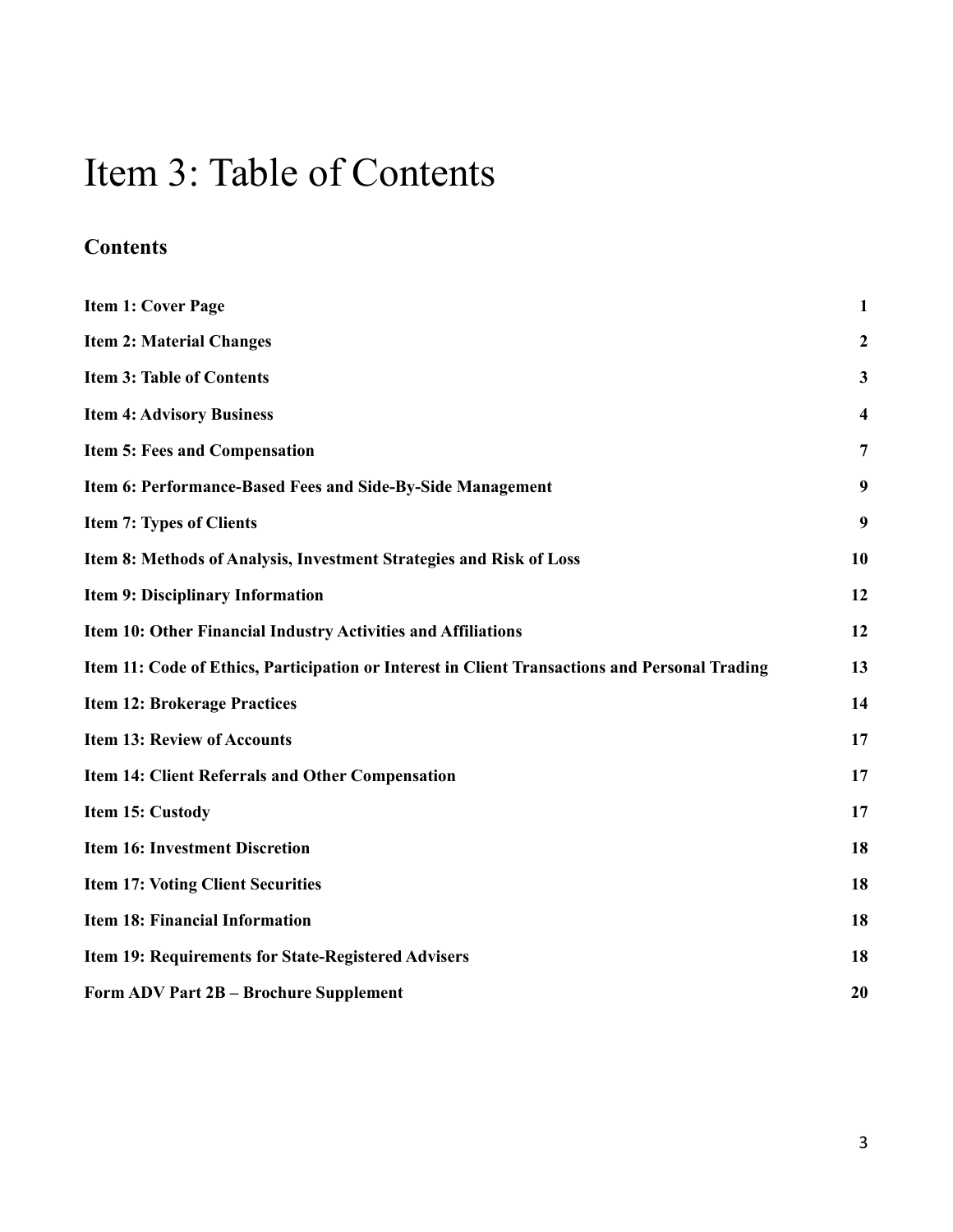## <span id="page-2-0"></span>Item 3: Table of Contents

## **Contents**

| <b>Item 1: Cover Page</b>                                                                      | $\mathbf{1}$     |
|------------------------------------------------------------------------------------------------|------------------|
| <b>Item 2: Material Changes</b>                                                                | $\boldsymbol{2}$ |
| <b>Item 3: Table of Contents</b>                                                               | 3                |
| <b>Item 4: Advisory Business</b>                                                               | 4                |
| <b>Item 5: Fees and Compensation</b>                                                           | $\overline{7}$   |
| Item 6: Performance-Based Fees and Side-By-Side Management                                     | 9                |
| <b>Item 7: Types of Clients</b>                                                                | 9                |
| Item 8: Methods of Analysis, Investment Strategies and Risk of Loss                            | 10               |
| Item 9: Disciplinary Information                                                               | 12               |
| Item 10: Other Financial Industry Activities and Affiliations                                  | 12               |
| Item 11: Code of Ethics, Participation or Interest in Client Transactions and Personal Trading | 13               |
| <b>Item 12: Brokerage Practices</b>                                                            | 14               |
| <b>Item 13: Review of Accounts</b>                                                             | 17               |
| <b>Item 14: Client Referrals and Other Compensation</b>                                        | 17               |
| Item 15: Custody                                                                               | 17               |
| <b>Item 16: Investment Discretion</b>                                                          | 18               |
| <b>Item 17: Voting Client Securities</b>                                                       | 18               |
| <b>Item 18: Financial Information</b>                                                          | 18               |
| <b>Item 19: Requirements for State-Registered Advisers</b>                                     | 18               |
| Form ADV Part 2B - Brochure Supplement                                                         | 20               |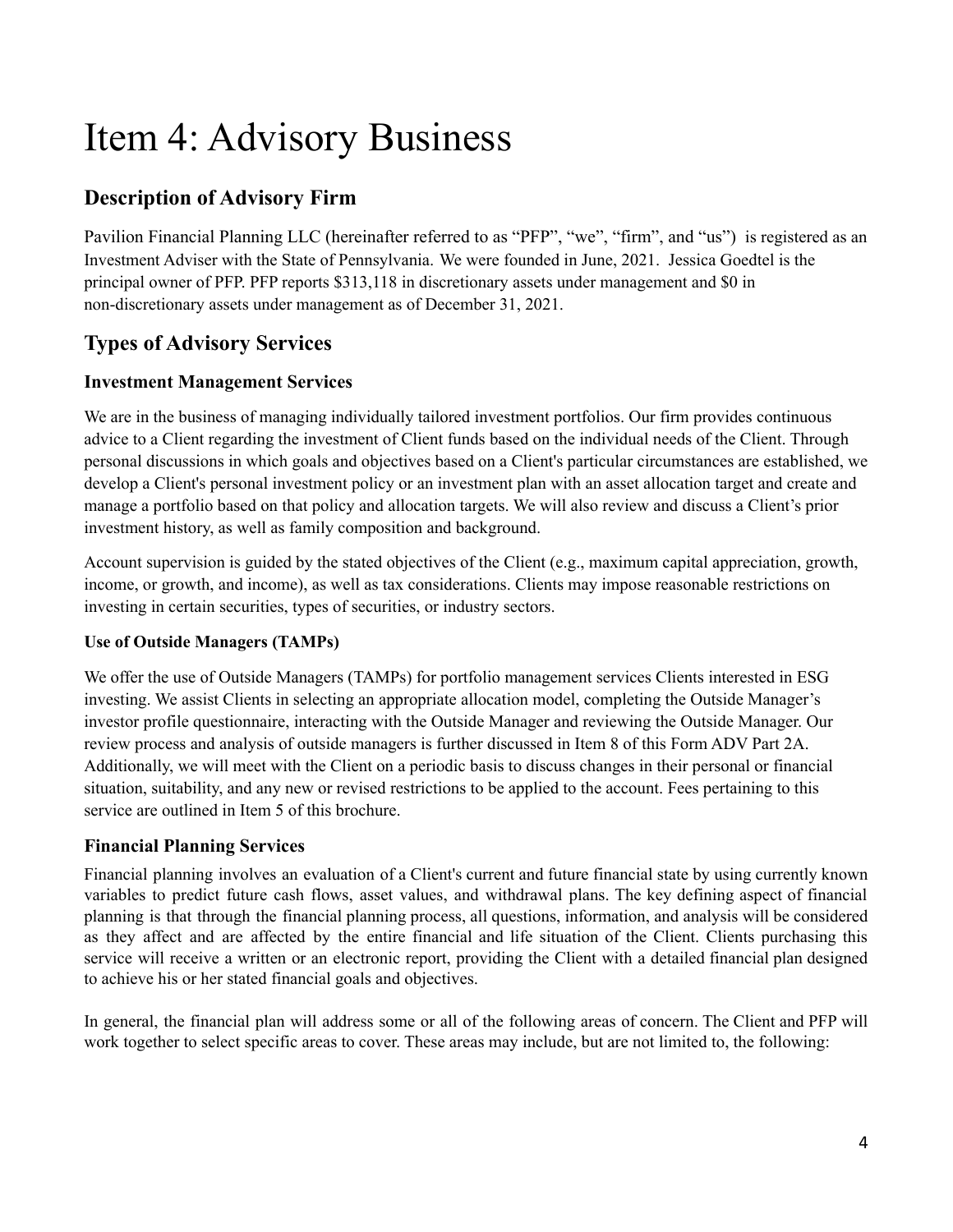# <span id="page-3-0"></span>Item 4: Advisory Business

## **Description of Advisory Firm**

Pavilion Financial Planning LLC (hereinafter referred to as "PFP", "we", "firm", and "us") is registered as an Investment Adviser with the State of Pennsylvania. We were founded in June, 2021. Jessica Goedtel is the principal owner of PFP. PFP reports \$313,118 in discretionary assets under management and \$0 in non-discretionary assets under management as of December 31, 2021.

## **Types of Advisory Services**

## **Investment Management Services**

We are in the business of managing individually tailored investment portfolios. Our firm provides continuous advice to a Client regarding the investment of Client funds based on the individual needs of the Client. Through personal discussions in which goals and objectives based on a Client's particular circumstances are established, we develop a Client's personal investment policy or an investment plan with an asset allocation target and create and manage a portfolio based on that policy and allocation targets. We will also review and discuss a Client's prior investment history, as well as family composition and background.

Account supervision is guided by the stated objectives of the Client (e.g., maximum capital appreciation, growth, income, or growth, and income), as well as tax considerations. Clients may impose reasonable restrictions on investing in certain securities, types of securities, or industry sectors.

### **Use of Outside Managers (TAMPs)**

We offer the use of Outside Managers (TAMPs) for portfolio management services Clients interested in ESG investing. We assist Clients in selecting an appropriate allocation model, completing the Outside Manager's investor profile questionnaire, interacting with the Outside Manager and reviewing the Outside Manager. Our review process and analysis of outside managers is further discussed in Item 8 of this Form ADV Part 2A. Additionally, we will meet with the Client on a periodic basis to discuss changes in their personal or financial situation, suitability, and any new or revised restrictions to be applied to the account. Fees pertaining to this service are outlined in Item 5 of this brochure.

## **Financial Planning Services**

Financial planning involves an evaluation of a Client's current and future financial state by using currently known variables to predict future cash flows, asset values, and withdrawal plans. The key defining aspect of financial planning is that through the financial planning process, all questions, information, and analysis will be considered as they affect and are affected by the entire financial and life situation of the Client. Clients purchasing this service will receive a written or an electronic report, providing the Client with a detailed financial plan designed to achieve his or her stated financial goals and objectives.

In general, the financial plan will address some or all of the following areas of concern. The Client and PFP will work together to select specific areas to cover. These areas may include, but are not limited to, the following: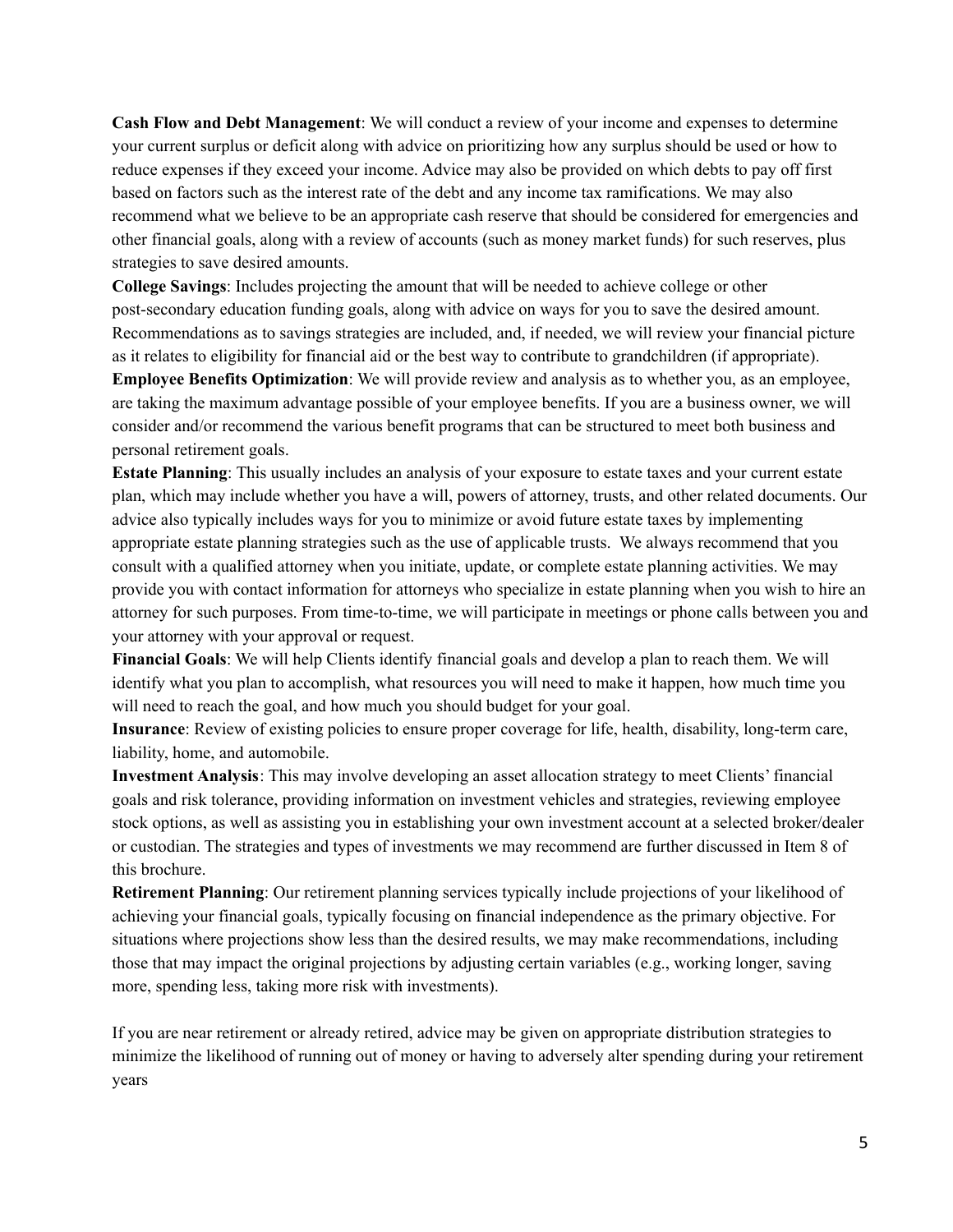**Cash Flow and Debt Management**: We will conduct a review of your income and expenses to determine your current surplus or deficit along with advice on prioritizing how any surplus should be used or how to reduce expenses if they exceed your income. Advice may also be provided on which debts to pay off first based on factors such as the interest rate of the debt and any income tax ramifications. We may also recommend what we believe to be an appropriate cash reserve that should be considered for emergencies and other financial goals, along with a review of accounts (such as money market funds) for such reserves, plus strategies to save desired amounts.

**College Savings**: Includes projecting the amount that will be needed to achieve college or other post-secondary education funding goals, along with advice on ways for you to save the desired amount. Recommendations as to savings strategies are included, and, if needed, we will review your financial picture as it relates to eligibility for financial aid or the best way to contribute to grandchildren (if appropriate). **Employee Benefits Optimization**: We will provide review and analysis as to whether you, as an employee, are taking the maximum advantage possible of your employee benefits. If you are a business owner, we will consider and/or recommend the various benefit programs that can be structured to meet both business and personal retirement goals.

**Estate Planning**: This usually includes an analysis of your exposure to estate taxes and your current estate plan, which may include whether you have a will, powers of attorney, trusts, and other related documents. Our advice also typically includes ways for you to minimize or avoid future estate taxes by implementing appropriate estate planning strategies such as the use of applicable trusts. We always recommend that you consult with a qualified attorney when you initiate, update, or complete estate planning activities. We may provide you with contact information for attorneys who specialize in estate planning when you wish to hire an attorney for such purposes. From time-to-time, we will participate in meetings or phone calls between you and your attorney with your approval or request.

**Financial Goals**: We will help Clients identify financial goals and develop a plan to reach them. We will identify what you plan to accomplish, what resources you will need to make it happen, how much time you will need to reach the goal, and how much you should budget for your goal.

**Insurance**: Review of existing policies to ensure proper coverage for life, health, disability, long-term care, liability, home, and automobile.

**Investment Analysis**: This may involve developing an asset allocation strategy to meet Clients' financial goals and risk tolerance, providing information on investment vehicles and strategies, reviewing employee stock options, as well as assisting you in establishing your own investment account at a selected broker/dealer or custodian. The strategies and types of investments we may recommend are further discussed in Item 8 of this brochure.

**Retirement Planning**: Our retirement planning services typically include projections of your likelihood of achieving your financial goals, typically focusing on financial independence as the primary objective. For situations where projections show less than the desired results, we may make recommendations, including those that may impact the original projections by adjusting certain variables (e.g., working longer, saving more, spending less, taking more risk with investments).

If you are near retirement or already retired, advice may be given on appropriate distribution strategies to minimize the likelihood of running out of money or having to adversely alter spending during your retirement years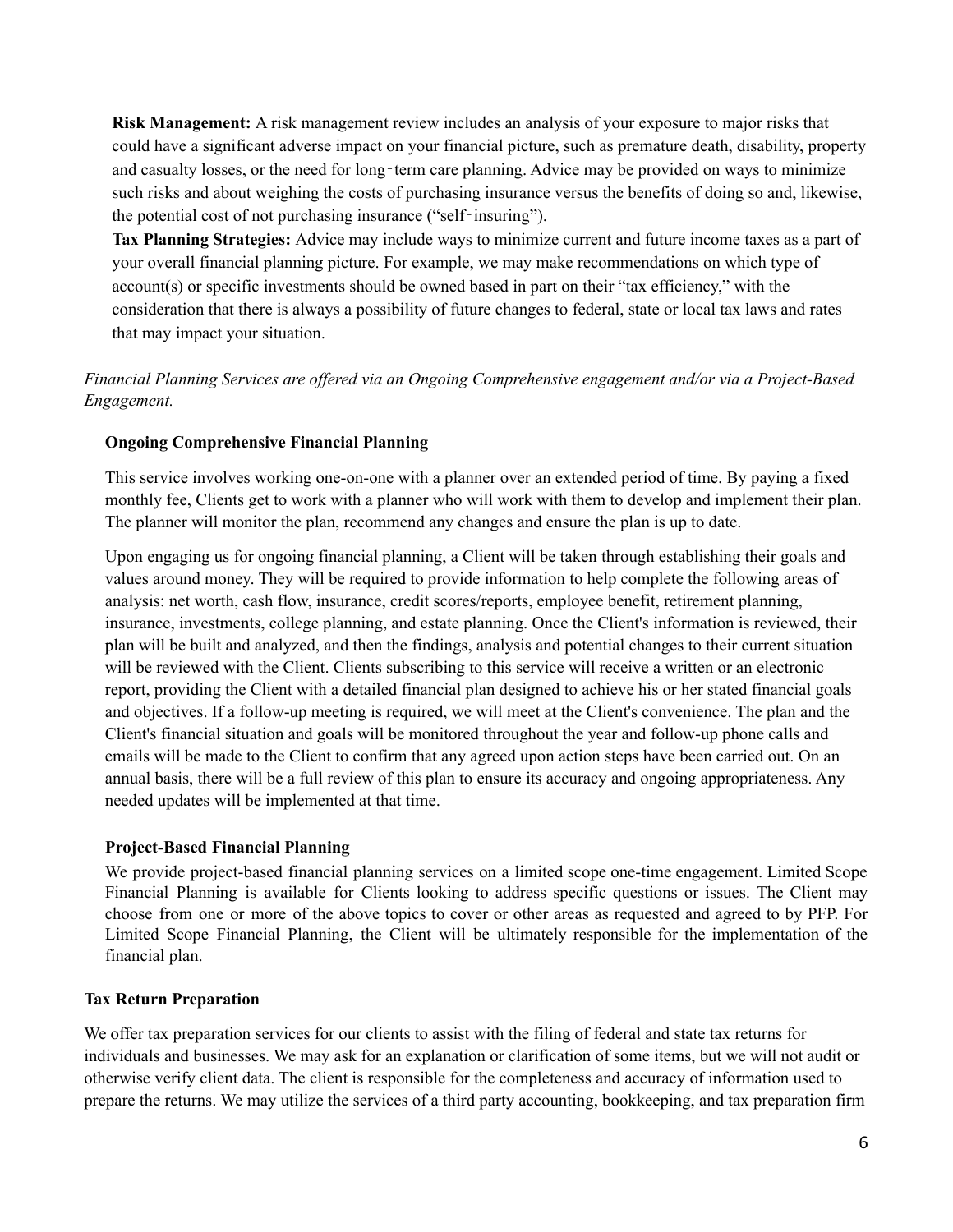**Risk Management:** A risk management review includes an analysis of your exposure to major risks that could have a significant adverse impact on your financial picture, such as premature death, disability, property and casualty losses, or the need for long-term care planning. Advice may be provided on ways to minimize such risks and about weighing the costs of purchasing insurance versus the benefits of doing so and, likewise, the potential cost of not purchasing insurance ("self‐insuring").

**Tax Planning Strategies:** Advice may include ways to minimize current and future income taxes as a part of your overall financial planning picture. For example, we may make recommendations on which type of account(s) or specific investments should be owned based in part on their "tax efficiency," with the consideration that there is always a possibility of future changes to federal, state or local tax laws and rates that may impact your situation.

*Financial Planning Services are of ered via an Ongoing Comprehensive engagement and/or via a Project-Based Engagement.*

### **Ongoing Comprehensive Financial Planning**

This service involves working one-on-one with a planner over an extended period of time. By paying a fixed monthly fee, Clients get to work with a planner who will work with them to develop and implement their plan. The planner will monitor the plan, recommend any changes and ensure the plan is up to date.

Upon engaging us for ongoing financial planning, a Client will be taken through establishing their goals and values around money. They will be required to provide information to help complete the following areas of analysis: net worth, cash flow, insurance, credit scores/reports, employee benefit, retirement planning, insurance, investments, college planning, and estate planning. Once the Client's information is reviewed, their plan will be built and analyzed, and then the findings, analysis and potential changes to their current situation will be reviewed with the Client. Clients subscribing to this service will receive a written or an electronic report, providing the Client with a detailed financial plan designed to achieve his or her stated financial goals and objectives. If a follow-up meeting is required, we will meet at the Client's convenience. The plan and the Client's financial situation and goals will be monitored throughout the year and follow-up phone calls and emails will be made to the Client to confirm that any agreed upon action steps have been carried out. On an annual basis, there will be a full review of this plan to ensure its accuracy and ongoing appropriateness. Any needed updates will be implemented at that time.

### **Project-Based Financial Planning**

We provide project-based financial planning services on a limited scope one-time engagement. Limited Scope Financial Planning is available for Clients looking to address specific questions or issues. The Client may choose from one or more of the above topics to cover or other areas as requested and agreed to by PFP. For Limited Scope Financial Planning, the Client will be ultimately responsible for the implementation of the financial plan.

#### **Tax Return Preparation**

We offer tax preparation services for our clients to assist with the filing of federal and state tax returns for individuals and businesses. We may ask for an explanation or clarification of some items, but we will not audit or otherwise verify client data. The client is responsible for the completeness and accuracy of information used to prepare the returns. We may utilize the services of a third party accounting, bookkeeping, and tax preparation firm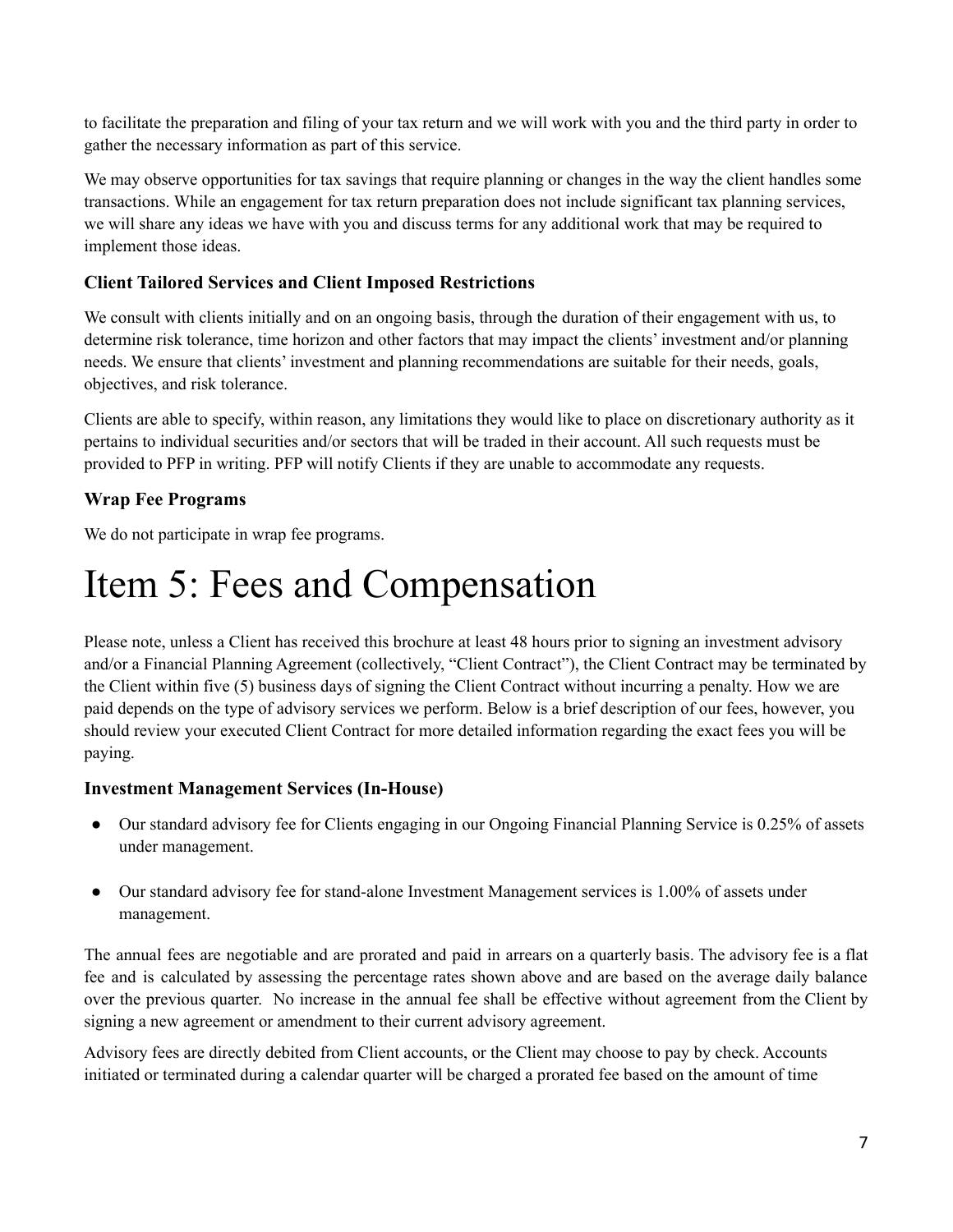to facilitate the preparation and filing of your tax return and we will work with you and the third party in order to gather the necessary information as part of this service.

We may observe opportunities for tax savings that require planning or changes in the way the client handles some transactions. While an engagement for tax return preparation does not include significant tax planning services, we will share any ideas we have with you and discuss terms for any additional work that may be required to implement those ideas.

### **Client Tailored Services and Client Imposed Restrictions**

We consult with clients initially and on an ongoing basis, through the duration of their engagement with us, to determine risk tolerance, time horizon and other factors that may impact the clients' investment and/or planning needs. We ensure that clients' investment and planning recommendations are suitable for their needs, goals, objectives, and risk tolerance.

Clients are able to specify, within reason, any limitations they would like to place on discretionary authority as it pertains to individual securities and/or sectors that will be traded in their account. All such requests must be provided to PFP in writing. PFP will notify Clients if they are unable to accommodate any requests.

## **Wrap Fee Programs**

We do not participate in wrap fee programs.

## <span id="page-6-0"></span>Item 5: Fees and Compensation

Please note, unless a Client has received this brochure at least 48 hours prior to signing an investment advisory and/or a Financial Planning Agreement (collectively, "Client Contract"), the Client Contract may be terminated by the Client within five (5) business days of signing the Client Contract without incurring a penalty. How we are paid depends on the type of advisory services we perform. Below is a brief description of our fees, however, you should review your executed Client Contract for more detailed information regarding the exact fees you will be paying.

### **Investment Management Services (In-House)**

- Our standard advisory fee for Clients engaging in our Ongoing Financial Planning Service is 0.25% of assets under management.
- Our standard advisory fee for stand-alone Investment Management services is 1.00% of assets under management.

The annual fees are negotiable and are prorated and paid in arrears on a quarterly basis. The advisory fee is a flat fee and is calculated by assessing the percentage rates shown above and are based on the average daily balance over the previous quarter. No increase in the annual fee shall be effective without agreement from the Client by signing a new agreement or amendment to their current advisory agreement.

Advisory fees are directly debited from Client accounts, or the Client may choose to pay by check. Accounts initiated or terminated during a calendar quarter will be charged a prorated fee based on the amount of time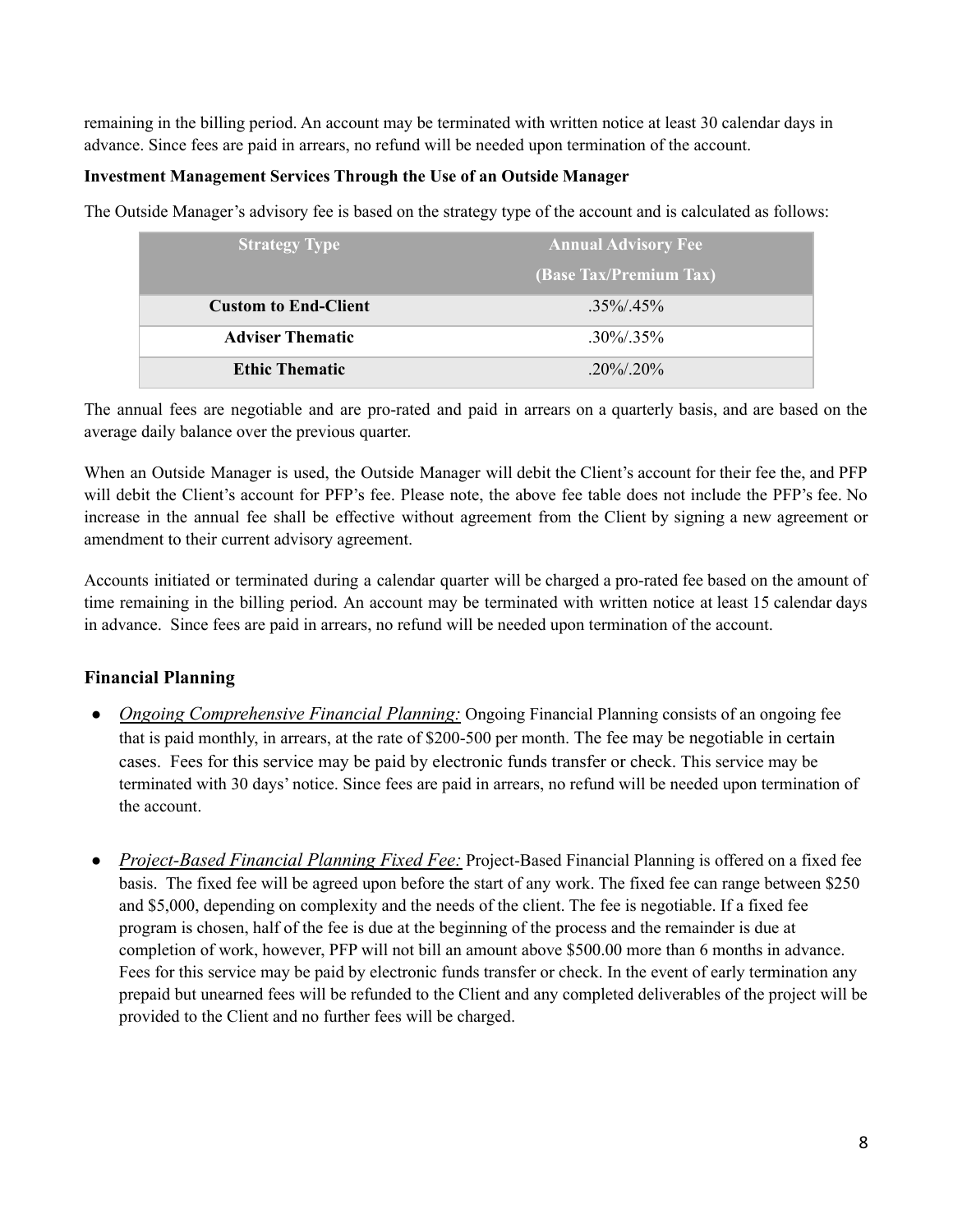remaining in the billing period. An account may be terminated with written notice at least 30 calendar days in advance. Since fees are paid in arrears, no refund will be needed upon termination of the account.

### **Investment Management Services Through the Use of an Outside Manager**

The Outside Manager's advisory fee is based on the strategy type of the account and is calculated as follows:

| <b>Strategy Type</b>        | <b>Annual Advisory Fee</b> |
|-----------------------------|----------------------------|
|                             | (Base Tax/Premium Tax)     |
| <b>Custom to End-Client</b> | $35\%/45\%$                |
| <b>Adviser Thematic</b>     | $.30\%/.35\%$              |
| <b>Ethic Thematic</b>       | $20\%/20\%$                |

The annual fees are negotiable and are pro-rated and paid in arrears on a quarterly basis, and are based on the average daily balance over the previous quarter.

When an Outside Manager is used, the Outside Manager will debit the Client's account for their fee the, and PFP will debit the Client's account for PFP's fee. Please note, the above fee table does not include the PFP's fee. No increase in the annual fee shall be effective without agreement from the Client by signing a new agreement or amendment to their current advisory agreement.

Accounts initiated or terminated during a calendar quarter will be charged a pro-rated fee based on the amount of time remaining in the billing period. An account may be terminated with written notice at least 15 calendar days in advance. Since fees are paid in arrears, no refund will be needed upon termination of the account.

### **Financial Planning**

- *Ongoing Comprehensive Financial Planning:* Ongoing Financial Planning consists of an ongoing fee that is paid monthly, in arrears, at the rate of \$200-500 per month. The fee may be negotiable in certain cases. Fees for this service may be paid by electronic funds transfer or check. This service may be terminated with 30 days' notice. Since fees are paid in arrears, no refund will be needed upon termination of the account.
- *Project-Based Financial Planning Fixed Fee:* Project-Based Financial Planning is offered on a fixed fee basis. The fixed fee will be agreed upon before the start of any work. The fixed fee can range between \$250 and \$5,000, depending on complexity and the needs of the client. The fee is negotiable. If a fixed fee program is chosen, half of the fee is due at the beginning of the process and the remainder is due at completion of work, however, PFP will not bill an amount above \$500.00 more than 6 months in advance. Fees for this service may be paid by electronic funds transfer or check. In the event of early termination any prepaid but unearned fees will be refunded to the Client and any completed deliverables of the project will be provided to the Client and no further fees will be charged.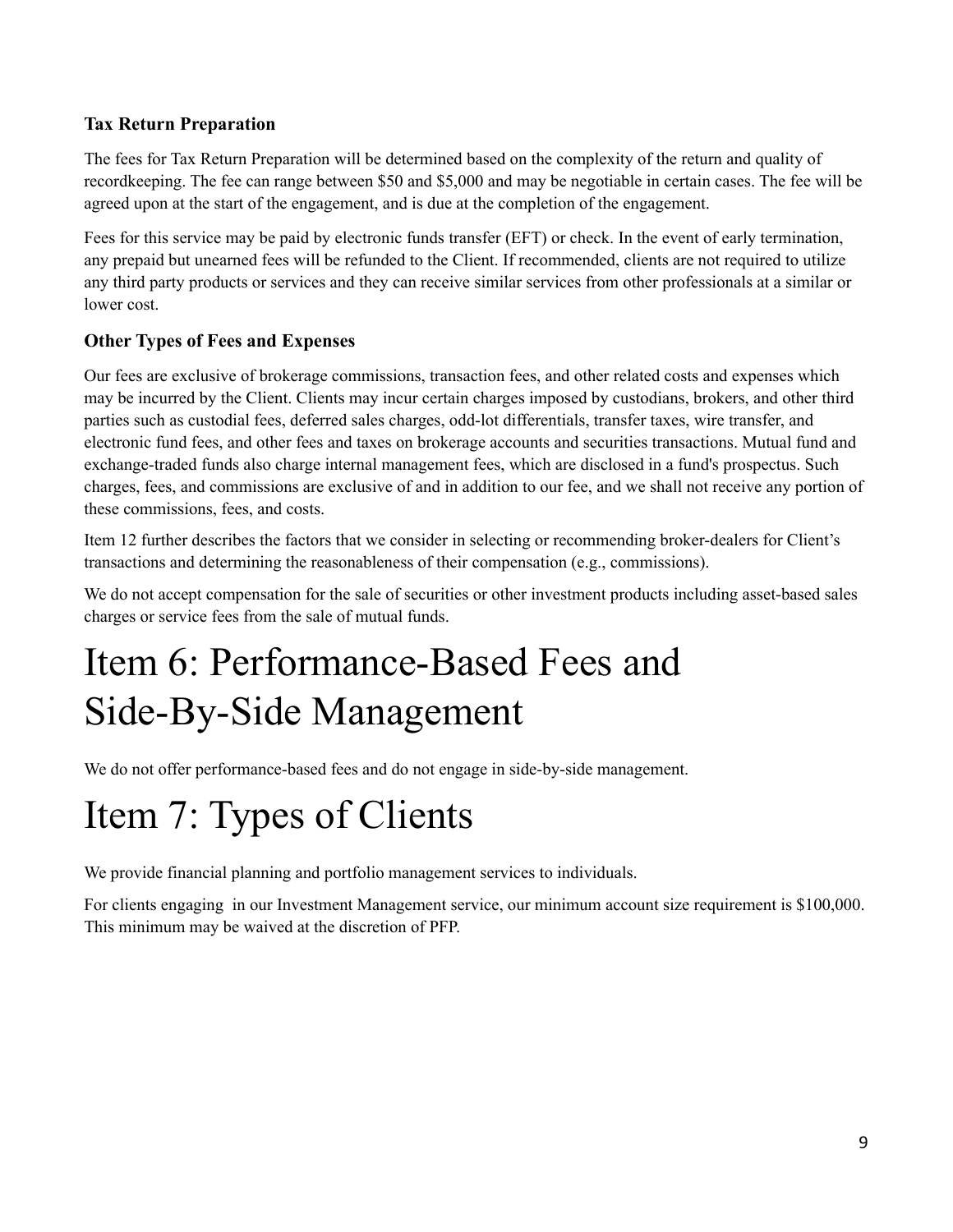## **Tax Return Preparation**

The fees for Tax Return Preparation will be determined based on the complexity of the return and quality of recordkeeping. The fee can range between \$50 and \$5,000 and may be negotiable in certain cases. The fee will be agreed upon at the start of the engagement, and is due at the completion of the engagement.

Fees for this service may be paid by electronic funds transfer (EFT) or check. In the event of early termination, any prepaid but unearned fees will be refunded to the Client. If recommended, clients are not required to utilize any third party products or services and they can receive similar services from other professionals at a similar or lower cost.

## **Other Types of Fees and Expenses**

Our fees are exclusive of brokerage commissions, transaction fees, and other related costs and expenses which may be incurred by the Client. Clients may incur certain charges imposed by custodians, brokers, and other third parties such as custodial fees, deferred sales charges, odd-lot differentials, transfer taxes, wire transfer, and electronic fund fees, and other fees and taxes on brokerage accounts and securities transactions. Mutual fund and exchange-traded funds also charge internal management fees, which are disclosed in a fund's prospectus. Such charges, fees, and commissions are exclusive of and in addition to our fee, and we shall not receive any portion of these commissions, fees, and costs.

Item 12 further describes the factors that we consider in selecting or recommending broker-dealers for Client's transactions and determining the reasonableness of their compensation (e.g., commissions).

We do not accept compensation for the sale of securities or other investment products including asset-based sales charges or service fees from the sale of mutual funds.

## <span id="page-8-0"></span>Item 6: Performance-Based Fees and Side-By-Side Management

We do not offer performance-based fees and do not engage in side-by-side management.

# <span id="page-8-1"></span>Item 7: Types of Clients

We provide financial planning and portfolio management services to individuals.

For clients engaging in our Investment Management service, our minimum account size requirement is \$100,000. This minimum may be waived at the discretion of PFP.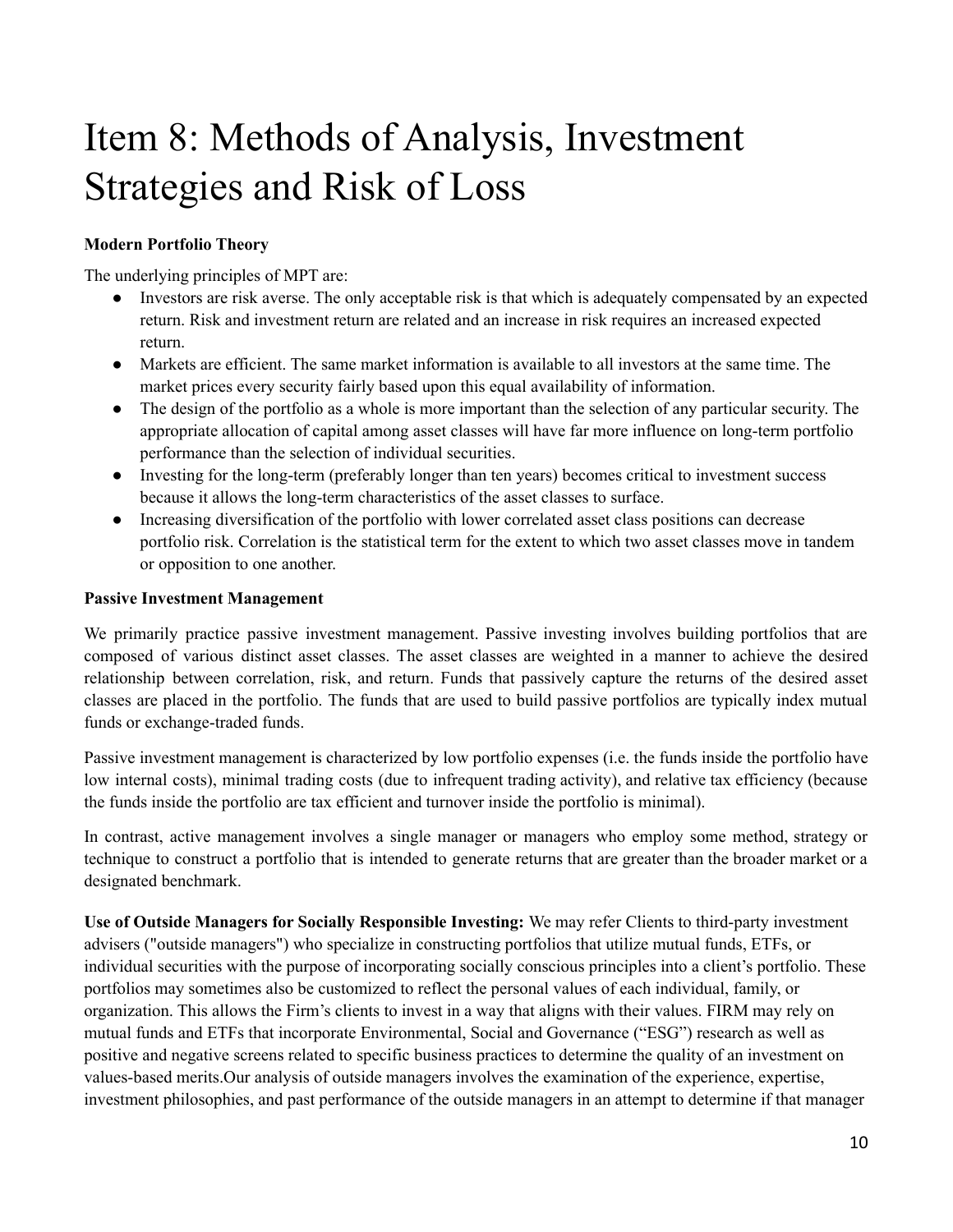# <span id="page-9-0"></span>Item 8: Methods of Analysis, Investment Strategies and Risk of Loss

### **Modern Portfolio Theory**

The underlying principles of MPT are:

- Investors are risk averse. The only acceptable risk is that which is adequately compensated by an expected return. Risk and investment return are related and an increase in risk requires an increased expected return.
- Markets are efficient. The same market information is available to all investors at the same time. The market prices every security fairly based upon this equal availability of information.
- The design of the portfolio as a whole is more important than the selection of any particular security. The appropriate allocation of capital among asset classes will have far more influence on long-term portfolio performance than the selection of individual securities.
- Investing for the long-term (preferably longer than ten years) becomes critical to investment success because it allows the long-term characteristics of the asset classes to surface.
- Increasing diversification of the portfolio with lower correlated asset class positions can decrease portfolio risk. Correlation is the statistical term for the extent to which two asset classes move in tandem or opposition to one another.

#### **Passive Investment Management**

We primarily practice passive investment management. Passive investing involves building portfolios that are composed of various distinct asset classes. The asset classes are weighted in a manner to achieve the desired relationship between correlation, risk, and return. Funds that passively capture the returns of the desired asset classes are placed in the portfolio. The funds that are used to build passive portfolios are typically index mutual funds or exchange-traded funds.

Passive investment management is characterized by low portfolio expenses (i.e. the funds inside the portfolio have low internal costs), minimal trading costs (due to infrequent trading activity), and relative tax efficiency (because the funds inside the portfolio are tax efficient and turnover inside the portfolio is minimal).

In contrast, active management involves a single manager or managers who employ some method, strategy or technique to construct a portfolio that is intended to generate returns that are greater than the broader market or a designated benchmark.

**Use of Outside Managers for Socially Responsible Investing:** We may refer Clients to third-party investment advisers ("outside managers") who specialize in constructing portfolios that utilize mutual funds, ETFs, or individual securities with the purpose of incorporating socially conscious principles into a client's portfolio. These portfolios may sometimes also be customized to reflect the personal values of each individual, family, or organization. This allows the Firm's clients to invest in a way that aligns with their values. FIRM may rely on mutual funds and ETFs that incorporate Environmental, Social and Governance ("ESG") research as well as positive and negative screens related to specific business practices to determine the quality of an investment on values-based merits.Our analysis of outside managers involves the examination of the experience, expertise, investment philosophies, and past performance of the outside managers in an attempt to determine if that manager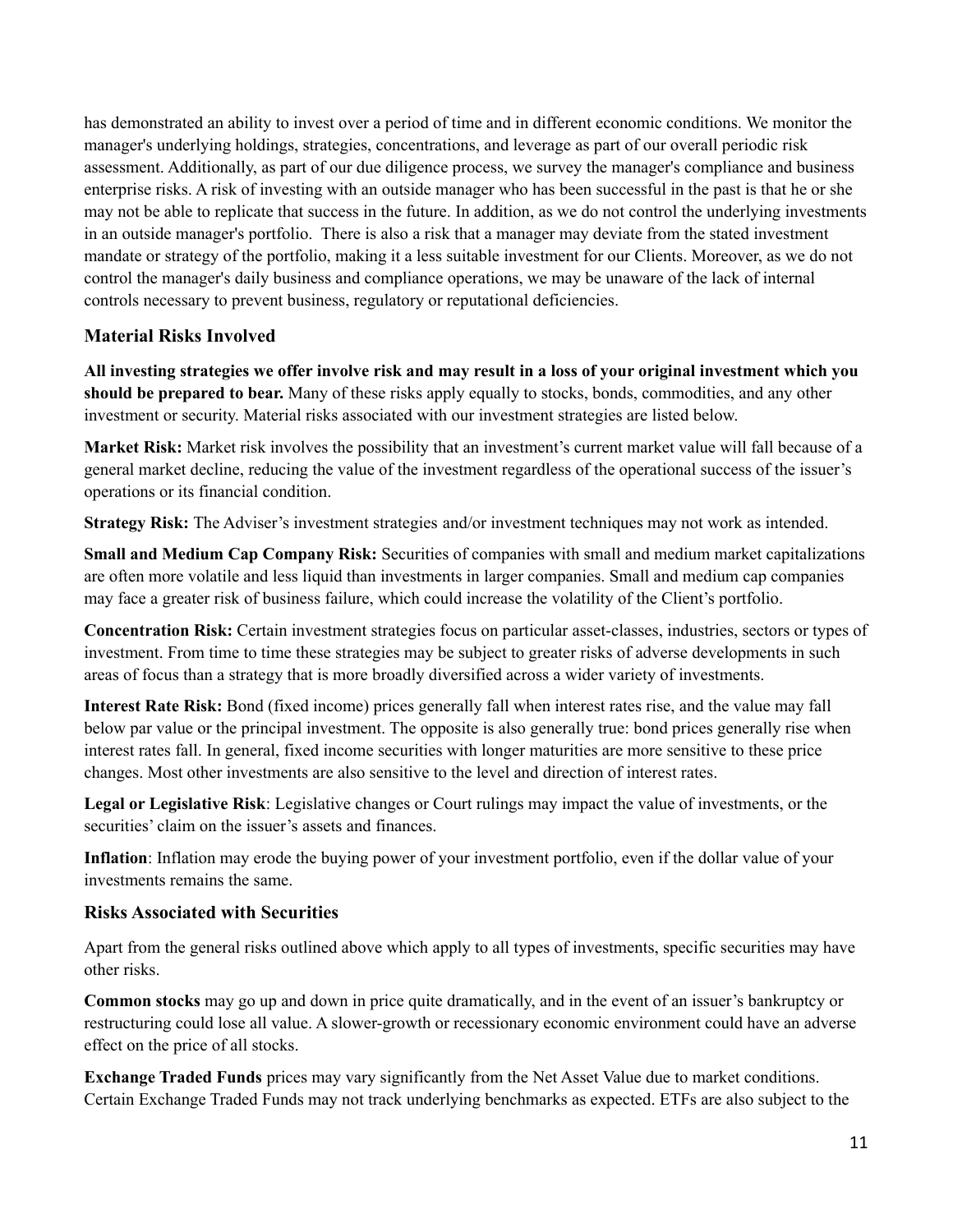has demonstrated an ability to invest over a period of time and in different economic conditions. We monitor the manager's underlying holdings, strategies, concentrations, and leverage as part of our overall periodic risk assessment. Additionally, as part of our due diligence process, we survey the manager's compliance and business enterprise risks. A risk of investing with an outside manager who has been successful in the past is that he or she may not be able to replicate that success in the future. In addition, as we do not control the underlying investments in an outside manager's portfolio. There is also a risk that a manager may deviate from the stated investment mandate or strategy of the portfolio, making it a less suitable investment for our Clients. Moreover, as we do not control the manager's daily business and compliance operations, we may be unaware of the lack of internal controls necessary to prevent business, regulatory or reputational deficiencies.

### **Material Risks Involved**

All investing strategies we offer involve risk and may result in a loss of your original investment which you **should be prepared to bear.** Many of these risks apply equally to stocks, bonds, commodities, and any other investment or security. Material risks associated with our investment strategies are listed below.

**Market Risk:** Market risk involves the possibility that an investment's current market value will fall because of a general market decline, reducing the value of the investment regardless of the operational success of the issuer's operations or its financial condition.

**Strategy Risk:** The Adviser's investment strategies and/or investment techniques may not work as intended.

**Small and Medium Cap Company Risk:** Securities of companies with small and medium market capitalizations are often more volatile and less liquid than investments in larger companies. Small and medium cap companies may face a greater risk of business failure, which could increase the volatility of the Client's portfolio.

**Concentration Risk:** Certain investment strategies focus on particular asset-classes, industries, sectors or types of investment. From time to time these strategies may be subject to greater risks of adverse developments in such areas of focus than a strategy that is more broadly diversified across a wider variety of investments.

**Interest Rate Risk:** Bond (fixed income) prices generally fall when interest rates rise, and the value may fall below par value or the principal investment. The opposite is also generally true: bond prices generally rise when interest rates fall. In general, fixed income securities with longer maturities are more sensitive to these price changes. Most other investments are also sensitive to the level and direction of interest rates.

**Legal or Legislative Risk**: Legislative changes or Court rulings may impact the value of investments, or the securities' claim on the issuer's assets and finances.

**Inflation**: Inflation may erode the buying power of your investment portfolio, even if the dollar value of your investments remains the same.

### **Risks Associated with Securities**

Apart from the general risks outlined above which apply to all types of investments, specific securities may have other risks.

**Common stocks** may go up and down in price quite dramatically, and in the event of an issuer's bankruptcy or restructuring could lose all value. A slower-growth or recessionary economic environment could have an adverse effect on the price of all stocks.

**Exchange Traded Funds** prices may vary significantly from the Net Asset Value due to market conditions. Certain Exchange Traded Funds may not track underlying benchmarks as expected. ETFs are also subject to the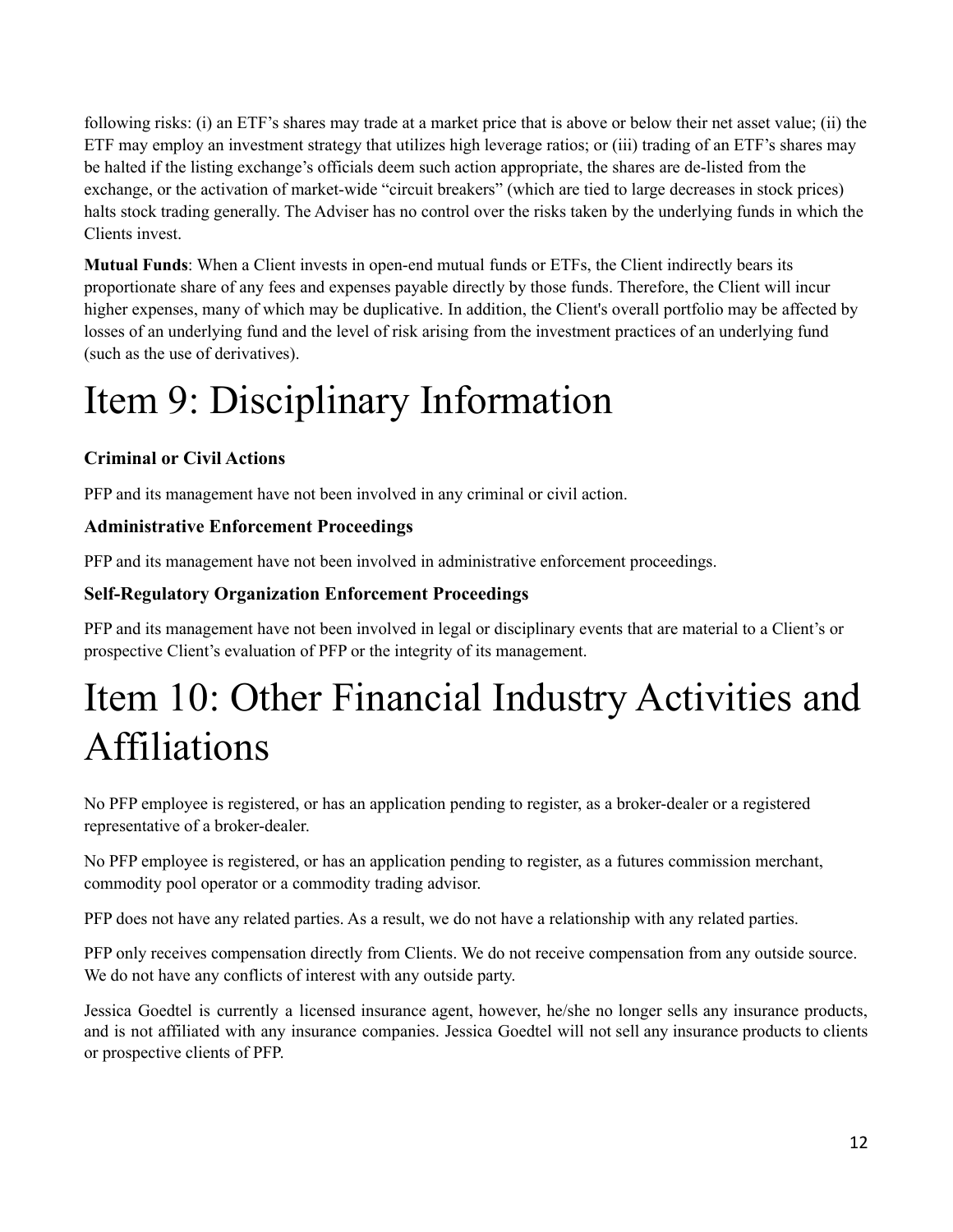following risks: (i) an ETF's shares may trade at a market price that is above or below their net asset value; (ii) the ETF may employ an investment strategy that utilizes high leverage ratios; or (iii) trading of an ETF's shares may be halted if the listing exchange's officials deem such action appropriate, the shares are de-listed from the exchange, or the activation of market-wide "circuit breakers" (which are tied to large decreases in stock prices) halts stock trading generally. The Adviser has no control over the risks taken by the underlying funds in which the Clients invest.

**Mutual Funds**: When a Client invests in open-end mutual funds or ETFs, the Client indirectly bears its proportionate share of any fees and expenses payable directly by those funds. Therefore, the Client will incur higher expenses, many of which may be duplicative. In addition, the Client's overall portfolio may be affected by losses of an underlying fund and the level of risk arising from the investment practices of an underlying fund (such as the use of derivatives).

# <span id="page-11-0"></span>Item 9: Disciplinary Information

## **Criminal or Civil Actions**

PFP and its management have not been involved in any criminal or civil action.

## **Administrative Enforcement Proceedings**

PFP and its management have not been involved in administrative enforcement proceedings.

## **Self-Regulatory Organization Enforcement Proceedings**

PFP and its management have not been involved in legal or disciplinary events that are material to a Client's or prospective Client's evaluation of PFP or the integrity of its management.

# <span id="page-11-1"></span>Item 10: Other Financial Industry Activities and Affiliations

No PFP employee is registered, or has an application pending to register, as a broker-dealer or a registered representative of a broker-dealer.

No PFP employee is registered, or has an application pending to register, as a futures commission merchant, commodity pool operator or a commodity trading advisor.

PFP does not have any related parties. As a result, we do not have a relationship with any related parties.

PFP only receives compensation directly from Clients. We do not receive compensation from any outside source. We do not have any conflicts of interest with any outside party.

Jessica Goedtel is currently a licensed insurance agent, however, he/she no longer sells any insurance products, and is not affiliated with any insurance companies. Jessica Goedtel will not sell any insurance products to clients or prospective clients of PFP.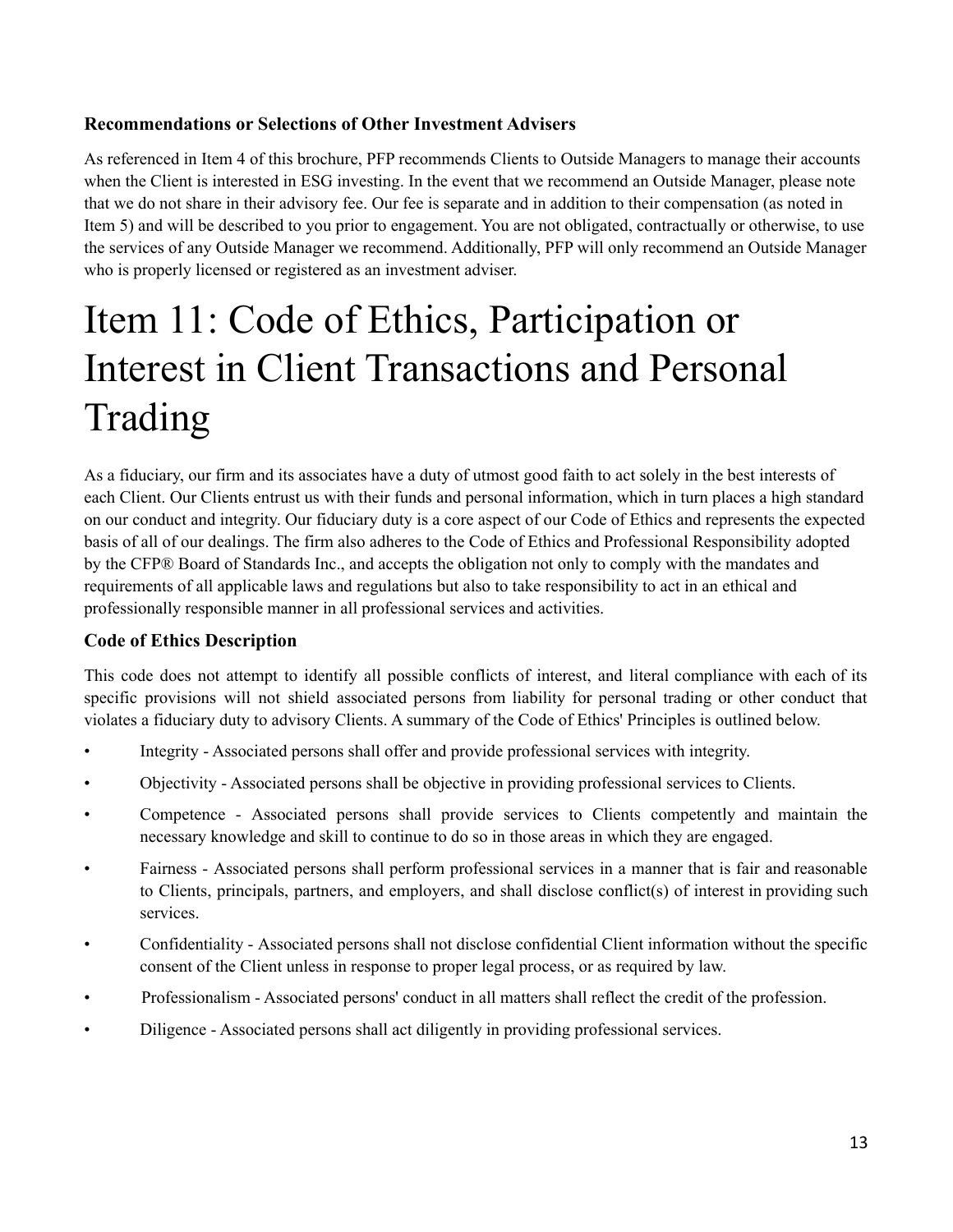### **Recommendations or Selections of Other Investment Advisers**

As referenced in Item 4 of this brochure, PFP recommends Clients to Outside Managers to manage their accounts when the Client is interested in ESG investing. In the event that we recommend an Outside Manager, please note that we do not share in their advisory fee. Our fee is separate and in addition to their compensation (as noted in Item 5) and will be described to you prior to engagement. You are not obligated, contractually or otherwise, to use the services of any Outside Manager we recommend. Additionally, PFP will only recommend an Outside Manager who is properly licensed or registered as an investment adviser.

# Item 11: Code of Ethics, Participation or Interest in Client Transactions and Personal Trading

<span id="page-12-0"></span>As a fiduciary, our firm and its associates have a duty of utmost good faith to act solely in the best interests of each Client. Our Clients entrust us with their funds and personal information, which in turn places a high standard on our conduct and integrity. Our fiduciary duty is a core aspect of our Code of Ethics and represents the expected basis of all of our dealings. The firm also adheres to the Code of Ethics and Professional Responsibility adopted by the CFP® Board of Standards Inc., and accepts the obligation not only to comply with the mandates and requirements of all applicable laws and regulations but also to take responsibility to act in an ethical and professionally responsible manner in all professional services and activities.

### **Code of Ethics Description**

This code does not attempt to identify all possible conflicts of interest, and literal compliance with each of its specific provisions will not shield associated persons from liability for personal trading or other conduct that violates a fiduciary duty to advisory Clients. A summary of the Code of Ethics' Principles is outlined below.

- Integrity Associated persons shall offer and provide professional services with integrity.
- Objectivity Associated persons shall be objective in providing professional services to Clients.
- Competence Associated persons shall provide services to Clients competently and maintain the necessary knowledge and skill to continue to do so in those areas in which they are engaged.
- Fairness Associated persons shall perform professional services in a manner that is fair and reasonable to Clients, principals, partners, and employers, and shall disclose conflict(s) of interest in providing such services.
- Confidentiality Associated persons shall not disclose confidential Client information without the specific consent of the Client unless in response to proper legal process, or as required by law.
- Professionalism Associated persons' conduct in all matters shall reflect the credit of the profession.
- Diligence Associated persons shall act diligently in providing professional services.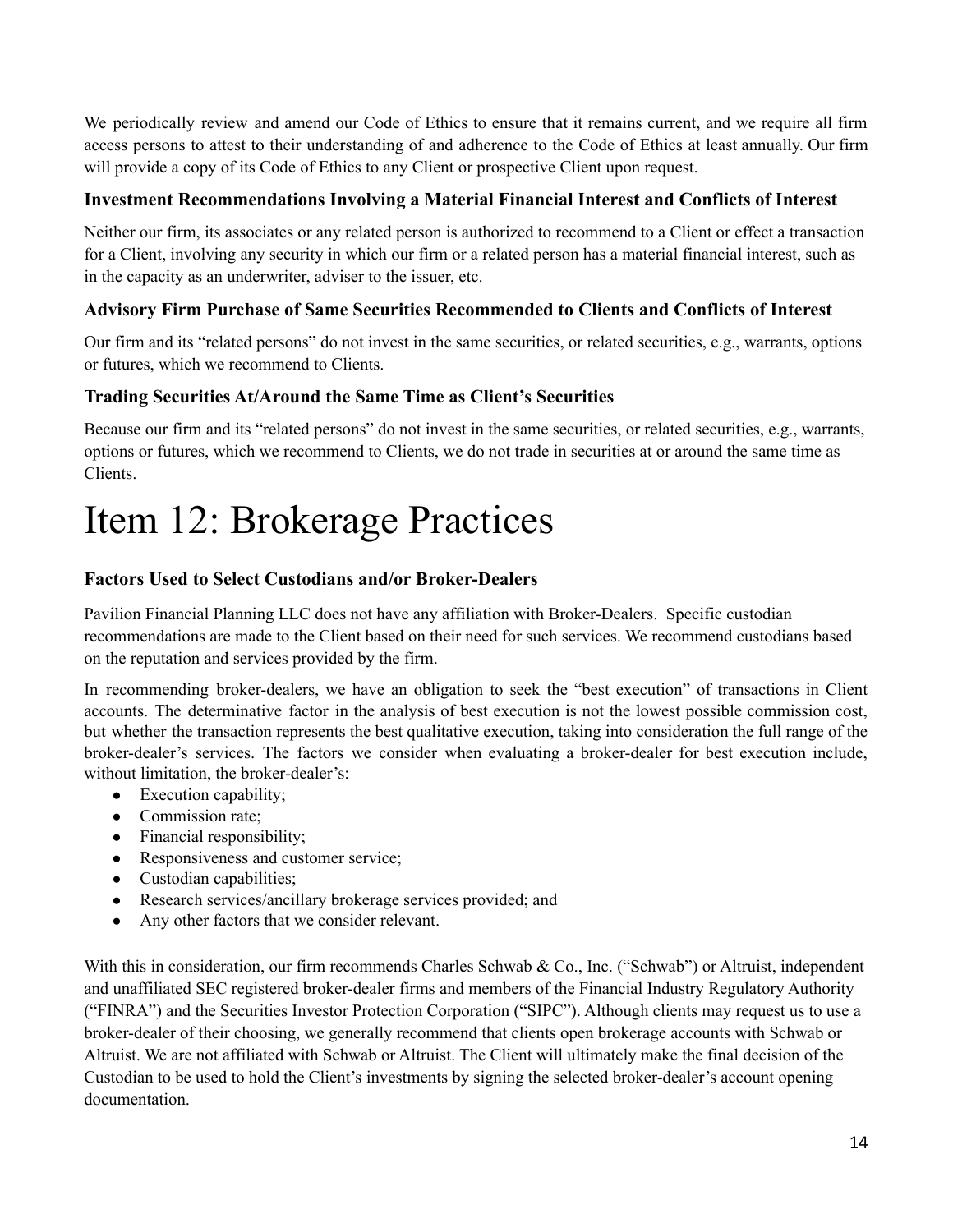We periodically review and amend our Code of Ethics to ensure that it remains current, and we require all firm access persons to attest to their understanding of and adherence to the Code of Ethics at least annually. Our firm will provide a copy of its Code of Ethics to any Client or prospective Client upon request.

### **Investment Recommendations Involving a Material Financial Interest and Conflicts of Interest**

Neither our firm, its associates or any related person is authorized to recommend to a Client or effect a transaction for a Client, involving any security in which our firm or a related person has a material financial interest, such as in the capacity as an underwriter, adviser to the issuer, etc.

## **Advisory Firm Purchase of Same Securities Recommended to Clients and Conflicts of Interest**

Our firm and its "related persons" do not invest in the same securities, or related securities, e.g., warrants, options or futures, which we recommend to Clients.

## **Trading Securities At/Around the Same Time as Client's Securities**

Because our firm and its "related persons" do not invest in the same securities, or related securities, e.g., warrants, options or futures, which we recommend to Clients, we do not trade in securities at or around the same time as Clients.

## <span id="page-13-0"></span>Item 12: Brokerage Practices

### **Factors Used to Select Custodians and/or Broker-Dealers**

Pavilion Financial Planning LLC does not have any affiliation with Broker-Dealers. Specific custodian recommendations are made to the Client based on their need for such services. We recommend custodians based on the reputation and services provided by the firm.

In recommending broker-dealers, we have an obligation to seek the "best execution" of transactions in Client accounts. The determinative factor in the analysis of best execution is not the lowest possible commission cost, but whether the transaction represents the best qualitative execution, taking into consideration the full range of the broker-dealer's services. The factors we consider when evaluating a broker-dealer for best execution include, without limitation, the broker-dealer's:

- Execution capability;
- Commission rate;
- Financial responsibility;
- Responsiveness and customer service;
- Custodian capabilities;
- Research services/ancillary brokerage services provided; and
- Any other factors that we consider relevant.

With this in consideration, our firm recommends Charles Schwab & Co., Inc. ("Schwab") or Altruist, independent and unaffiliated SEC registered broker-dealer firms and members of the Financial Industry Regulatory Authority ("FINRA") and the Securities Investor Protection Corporation ("SIPC"). Although clients may request us to use a broker-dealer of their choosing, we generally recommend that clients open brokerage accounts with Schwab or Altruist. We are not affiliated with Schwab or Altruist. The Client will ultimately make the final decision of the Custodian to be used to hold the Client's investments by signing the selected broker-dealer's account opening documentation.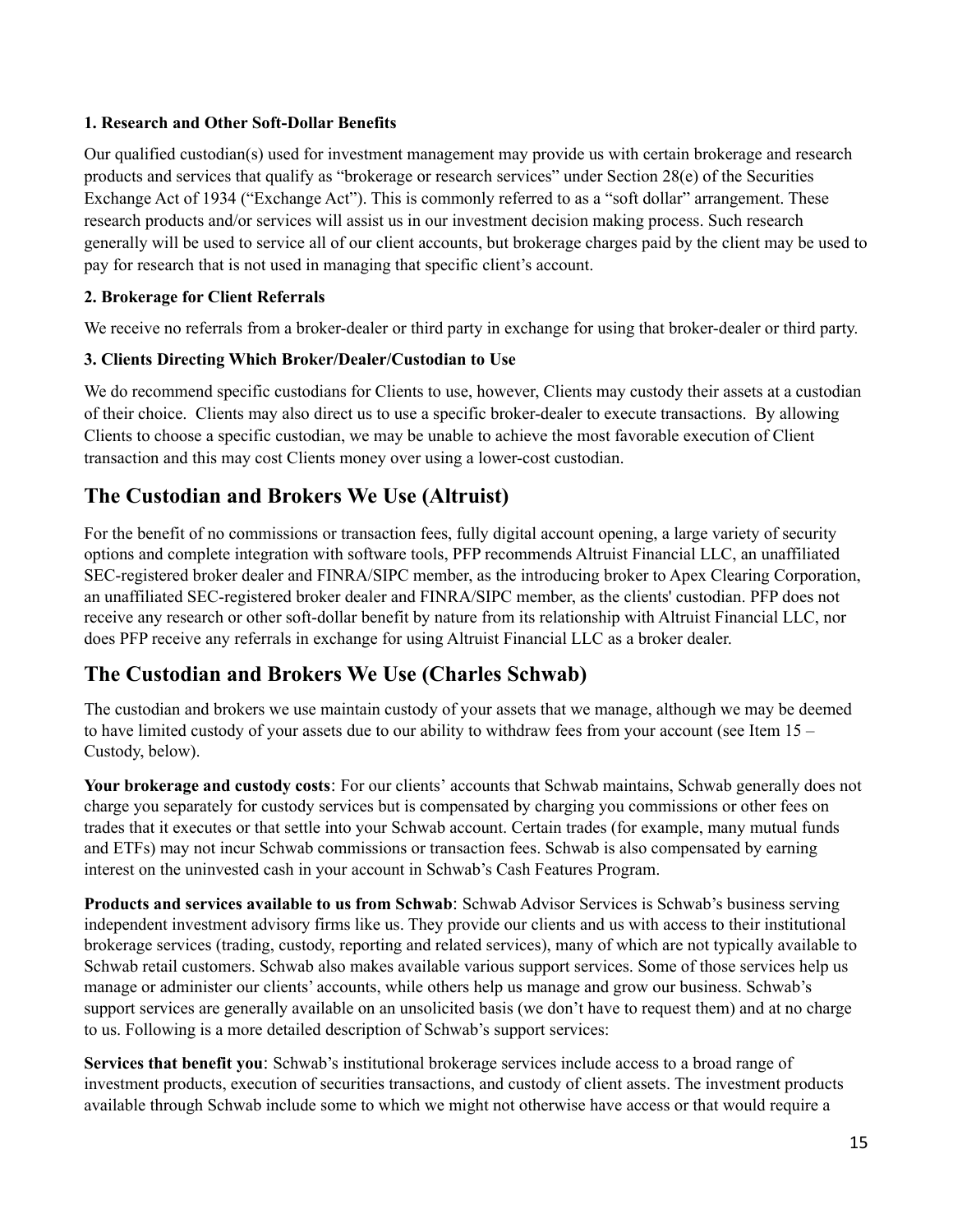### **1. Research and Other Soft-Dollar Benefits**

Our qualified custodian(s) used for investment management may provide us with certain brokerage and research products and services that qualify as "brokerage or research services" under Section 28(e) of the Securities Exchange Act of 1934 ("Exchange Act"). This is commonly referred to as a "soft dollar" arrangement. These research products and/or services will assist us in our investment decision making process. Such research generally will be used to service all of our client accounts, but brokerage charges paid by the client may be used to pay for research that is not used in managing that specific client's account.

### **2. Brokerage for Client Referrals**

We receive no referrals from a broker-dealer or third party in exchange for using that broker-dealer or third party.

## **3. Clients Directing Which Broker/Dealer/Custodian to Use**

We do recommend specific custodians for Clients to use, however, Clients may custody their assets at a custodian of their choice. Clients may also direct us to use a specific broker-dealer to execute transactions. By allowing Clients to choose a specific custodian, we may be unable to achieve the most favorable execution of Client transaction and this may cost Clients money over using a lower-cost custodian.

## **The Custodian and Brokers We Use (Altruist)**

For the benefit of no commissions or transaction fees, fully digital account opening, a large variety of security options and complete integration with software tools, PFP recommends Altruist Financial LLC, an unaffiliated SEC-registered broker dealer and FINRA/SIPC member, as the introducing broker to Apex Clearing Corporation, an unaffiliated SEC-registered broker dealer and FINRA/SIPC member, as the clients' custodian. PFP does not receive any research or other soft-dollar benefit by nature from its relationship with Altruist Financial LLC, nor does PFP receive any referrals in exchange for using Altruist Financial LLC as a broker dealer.

## **The Custodian and Brokers We Use (Charles Schwab)**

The custodian and brokers we use maintain custody of your assets that we manage, although we may be deemed to have limited custody of your assets due to our ability to withdraw fees from your account (see Item 15 – Custody, below).

**Your brokerage and custody costs**: For our clients' accounts that Schwab maintains, Schwab generally does not charge you separately for custody services but is compensated by charging you commissions or other fees on trades that it executes or that settle into your Schwab account. Certain trades (for example, many mutual funds and ETFs) may not incur Schwab commissions or transaction fees. Schwab is also compensated by earning interest on the uninvested cash in your account in Schwab's Cash Features Program.

**Products and services available to us from Schwab**: Schwab Advisor Services is Schwab's business serving independent investment advisory firms like us. They provide our clients and us with access to their institutional brokerage services (trading, custody, reporting and related services), many of which are not typically available to Schwab retail customers. Schwab also makes available various support services. Some of those services help us manage or administer our clients' accounts, while others help us manage and grow our business. Schwab's support services are generally available on an unsolicited basis (we don't have to request them) and at no charge to us. Following is a more detailed description of Schwab's support services:

**Services that benefit you**: Schwab's institutional brokerage services include access to a broad range of investment products, execution of securities transactions, and custody of client assets. The investment products available through Schwab include some to which we might not otherwise have access or that would require a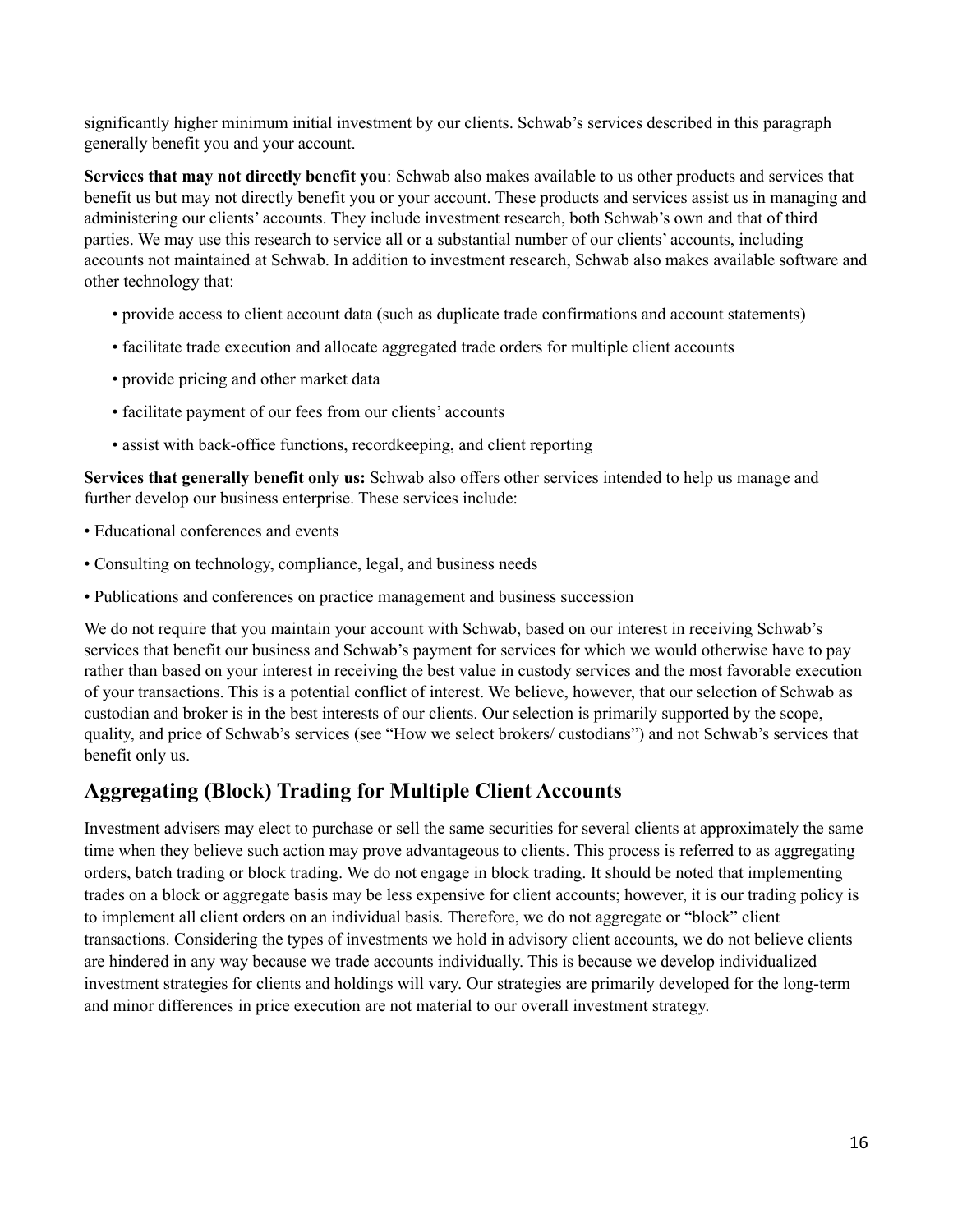significantly higher minimum initial investment by our clients. Schwab's services described in this paragraph generally benefit you and your account.

**Services that may not directly benefit you**: Schwab also makes available to us other products and services that benefit us but may not directly benefit you or your account. These products and services assist us in managing and administering our clients' accounts. They include investment research, both Schwab's own and that of third parties. We may use this research to service all or a substantial number of our clients' accounts, including accounts not maintained at Schwab. In addition to investment research, Schwab also makes available software and other technology that:

- provide access to client account data (such as duplicate trade confirmations and account statements)
- facilitate trade execution and allocate aggregated trade orders for multiple client accounts
- provide pricing and other market data
- facilitate payment of our fees from our clients' accounts
- assist with back-office functions, recordkeeping, and client reporting

**Services that generally benefit only us:** Schwab also offers other services intended to help us manage and further develop our business enterprise. These services include:

- Educational conferences and events
- Consulting on technology, compliance, legal, and business needs
- Publications and conferences on practice management and business succession

We do not require that you maintain your account with Schwab, based on our interest in receiving Schwab's services that benefit our business and Schwab's payment for services for which we would otherwise have to pay rather than based on your interest in receiving the best value in custody services and the most favorable execution of your transactions. This is a potential conflict of interest. We believe, however, that our selection of Schwab as custodian and broker is in the best interests of our clients. Our selection is primarily supported by the scope, quality, and price of Schwab's services (see "How we select brokers/ custodians") and not Schwab's services that benefit only us.

## **Aggregating (Block) Trading for Multiple Client Accounts**

Investment advisers may elect to purchase or sell the same securities for several clients at approximately the same time when they believe such action may prove advantageous to clients. This process is referred to as aggregating orders, batch trading or block trading. We do not engage in block trading. It should be noted that implementing trades on a block or aggregate basis may be less expensive for client accounts; however, it is our trading policy is to implement all client orders on an individual basis. Therefore, we do not aggregate or "block" client transactions. Considering the types of investments we hold in advisory client accounts, we do not believe clients are hindered in any way because we trade accounts individually. This is because we develop individualized investment strategies for clients and holdings will vary. Our strategies are primarily developed for the long-term and minor differences in price execution are not material to our overall investment strategy.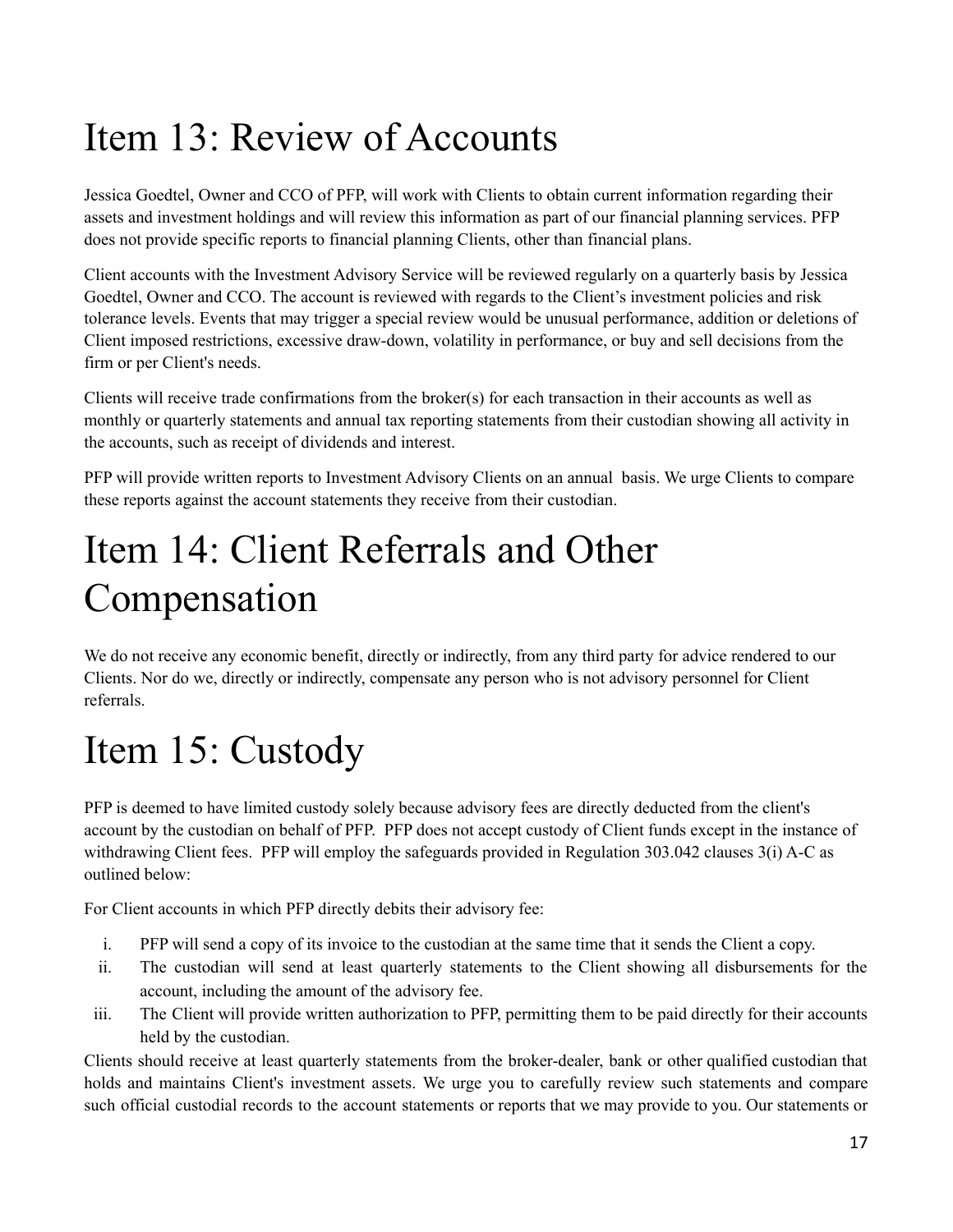# <span id="page-16-0"></span>Item 13: Review of Accounts

Jessica Goedtel, Owner and CCO of PFP, will work with Clients to obtain current information regarding their assets and investment holdings and will review this information as part of our financial planning services. PFP does not provide specific reports to financial planning Clients, other than financial plans.

Client accounts with the Investment Advisory Service will be reviewed regularly on a quarterly basis by Jessica Goedtel, Owner and CCO. The account is reviewed with regards to the Client's investment policies and risk tolerance levels. Events that may trigger a special review would be unusual performance, addition or deletions of Client imposed restrictions, excessive draw-down, volatility in performance, or buy and sell decisions from the firm or per Client's needs.

Clients will receive trade confirmations from the broker(s) for each transaction in their accounts as well as monthly or quarterly statements and annual tax reporting statements from their custodian showing all activity in the accounts, such as receipt of dividends and interest.

PFP will provide written reports to Investment Advisory Clients on an annual basis. We urge Clients to compare these reports against the account statements they receive from their custodian.

# <span id="page-16-1"></span>Item 14: Client Referrals and Other Compensation

We do not receive any economic benefit, directly or indirectly, from any third party for advice rendered to our Clients. Nor do we, directly or indirectly, compensate any person who is not advisory personnel for Client referrals.

# <span id="page-16-2"></span>Item 15: Custody

PFP is deemed to have limited custody solely because advisory fees are directly deducted from the client's account by the custodian on behalf of PFP. PFP does not accept custody of Client funds except in the instance of withdrawing Client fees. PFP will employ the safeguards provided in Regulation 303.042 clauses 3(i) A-C as outlined below:

For Client accounts in which PFP directly debits their advisory fee:

- i. PFP will send a copy of its invoice to the custodian at the same time that it sends the Client a copy.
- ii. The custodian will send at least quarterly statements to the Client showing all disbursements for the account, including the amount of the advisory fee.
- iii. The Client will provide written authorization to PFP, permitting them to be paid directly for their accounts held by the custodian.

Clients should receive at least quarterly statements from the broker-dealer, bank or other qualified custodian that holds and maintains Client's investment assets. We urge you to carefully review such statements and compare such official custodial records to the account statements or reports that we may provide to you. Our statements or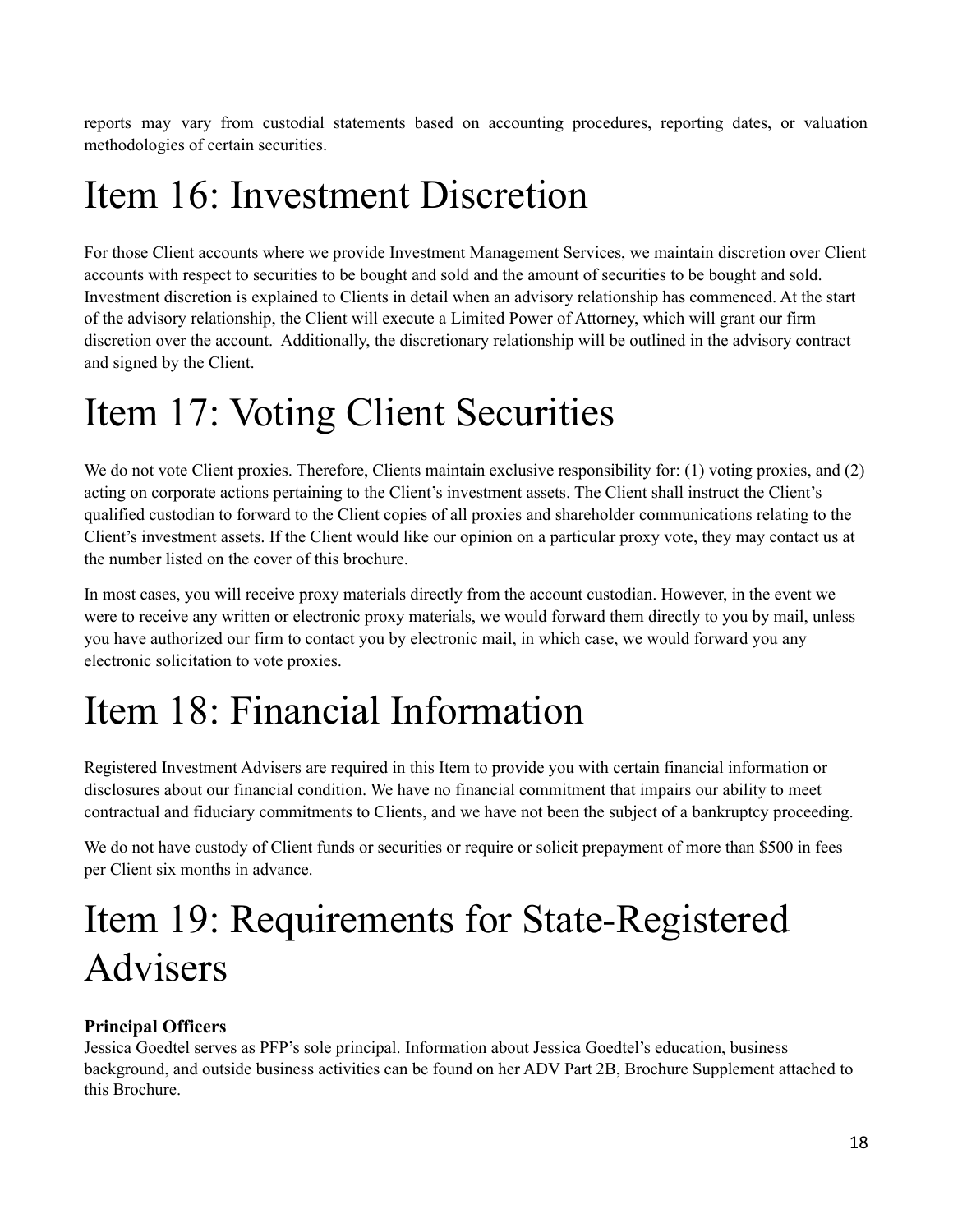reports may vary from custodial statements based on accounting procedures, reporting dates, or valuation methodologies of certain securities.

## <span id="page-17-0"></span>Item 16: Investment Discretion

For those Client accounts where we provide Investment Management Services, we maintain discretion over Client accounts with respect to securities to be bought and sold and the amount of securities to be bought and sold. Investment discretion is explained to Clients in detail when an advisory relationship has commenced. At the start of the advisory relationship, the Client will execute a Limited Power of Attorney, which will grant our firm discretion over the account. Additionally, the discretionary relationship will be outlined in the advisory contract and signed by the Client.

## <span id="page-17-1"></span>Item 17: Voting Client Securities

We do not vote Client proxies. Therefore, Clients maintain exclusive responsibility for: (1) voting proxies, and (2) acting on corporate actions pertaining to the Client's investment assets. The Client shall instruct the Client's qualified custodian to forward to the Client copies of all proxies and shareholder communications relating to the Client's investment assets. If the Client would like our opinion on a particular proxy vote, they may contact us at the number listed on the cover of this brochure.

In most cases, you will receive proxy materials directly from the account custodian. However, in the event we were to receive any written or electronic proxy materials, we would forward them directly to you by mail, unless you have authorized our firm to contact you by electronic mail, in which case, we would forward you any electronic solicitation to vote proxies.

# <span id="page-17-2"></span>Item 18: Financial Information

Registered Investment Advisers are required in this Item to provide you with certain financial information or disclosures about our financial condition. We have no financial commitment that impairs our ability to meet contractual and fiduciary commitments to Clients, and we have not been the subject of a bankruptcy proceeding.

We do not have custody of Client funds or securities or require or solicit prepayment of more than \$500 in fees per Client six months in advance.

# <span id="page-17-3"></span>Item 19: Requirements for State-Registered Advisers

## **Principal Officers**

Jessica Goedtel serves as PFP's sole principal. Information about Jessica Goedtel's education, business background, and outside business activities can be found on her ADV Part 2B, Brochure Supplement attached to this Brochure.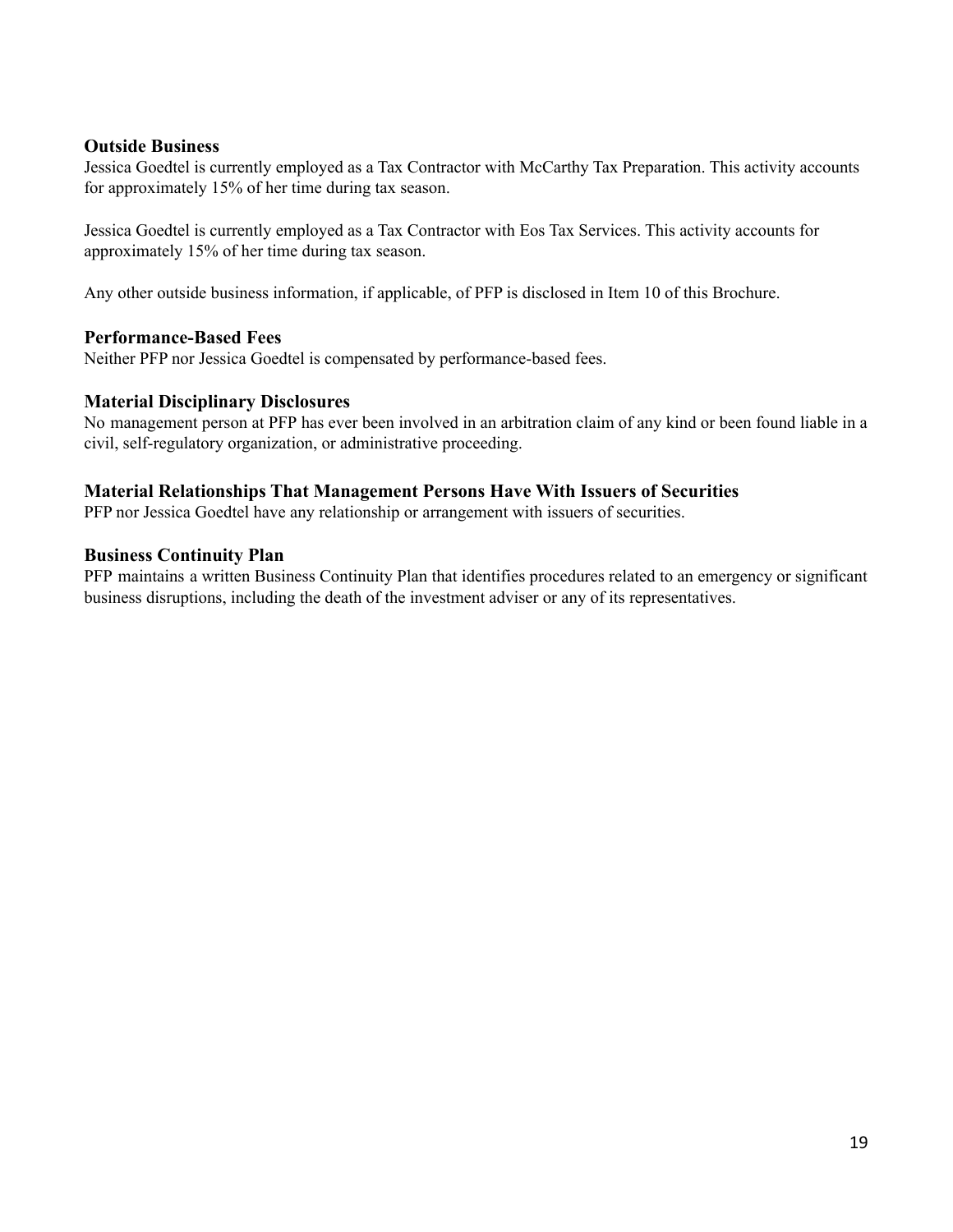### **Outside Business**

Jessica Goedtel is currently employed as a Tax Contractor with McCarthy Tax Preparation. This activity accounts for approximately 15% of her time during tax season.

Jessica Goedtel is currently employed as a Tax Contractor with Eos Tax Services. This activity accounts for approximately 15% of her time during tax season.

Any other outside business information, if applicable, of PFP is disclosed in Item 10 of this Brochure.

### **Performance-Based Fees**

Neither PFP nor Jessica Goedtel is compensated by performance-based fees.

### **Material Disciplinary Disclosures**

No management person at PFP has ever been involved in an arbitration claim of any kind or been found liable in a civil, self-regulatory organization, or administrative proceeding.

### **Material Relationships That Management Persons Have With Issuers of Securities**

PFP nor Jessica Goedtel have any relationship or arrangement with issuers of securities.

#### **Business Continuity Plan**

PFP maintains a written Business Continuity Plan that identifies procedures related to an emergency or significant business disruptions, including the death of the investment adviser or any of its representatives.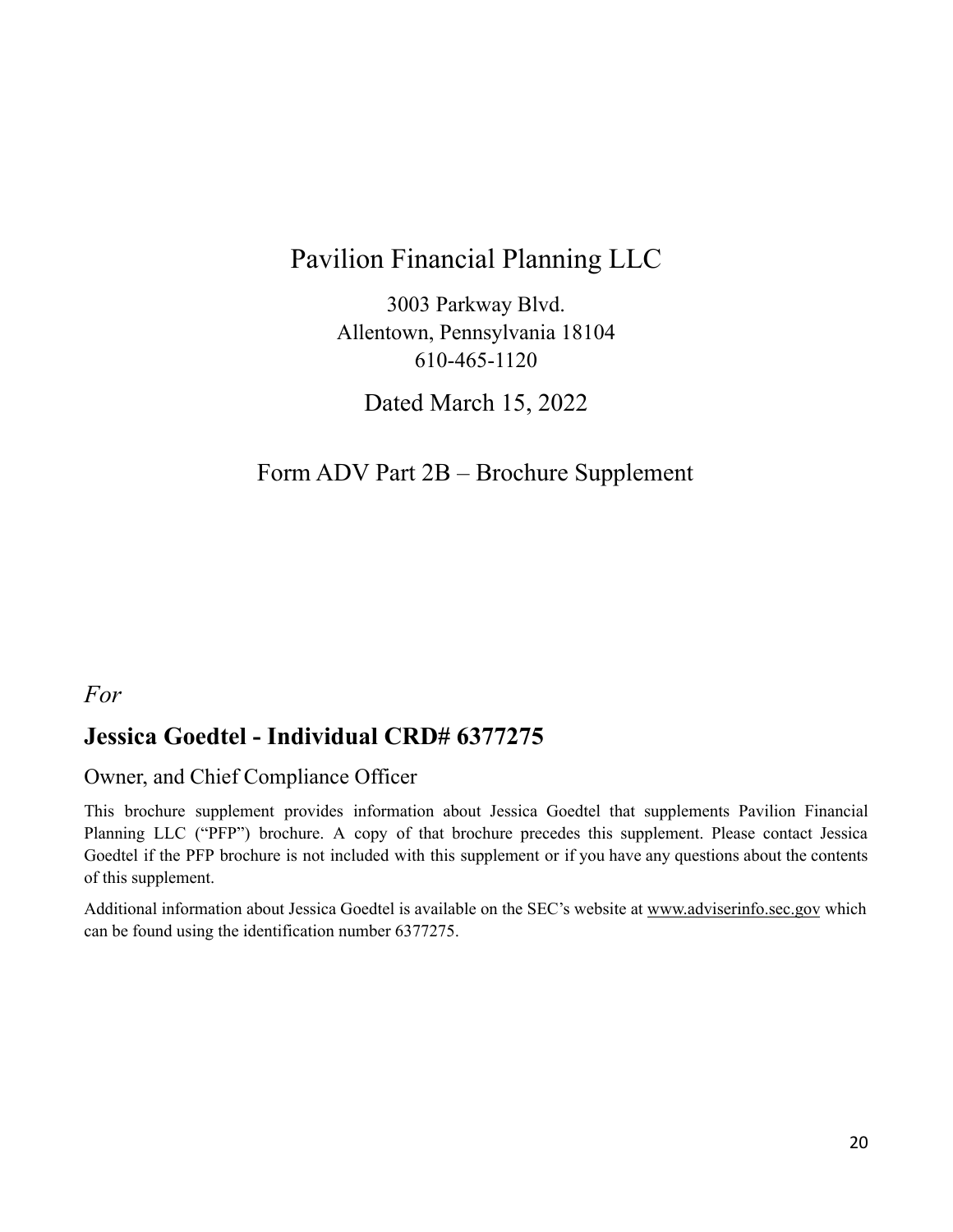## Pavilion Financial Planning LLC

3003 Parkway Blvd. Allentown, Pennsylvania 18104 610-465-1120

Dated March 15, 2022

## <span id="page-19-0"></span>Form ADV Part 2B – Brochure Supplement

## *For*

## **Jessica Goedtel - Individual CRD# 6377275**

## Owner, and Chief Compliance Officer

This brochure supplement provides information about Jessica Goedtel that supplements Pavilion Financial Planning LLC ("PFP") brochure. A copy of that brochure precedes this supplement. Please contact Jessica Goedtel if the PFP brochure is not included with this supplement or if you have any questions about the contents of this supplement.

Additional information about Jessica Goedtel is available on the SEC's website at [www.adviserinfo.sec.gov](http://www.adviserinfo.sec.gov) which can be found using the identification number 6377275.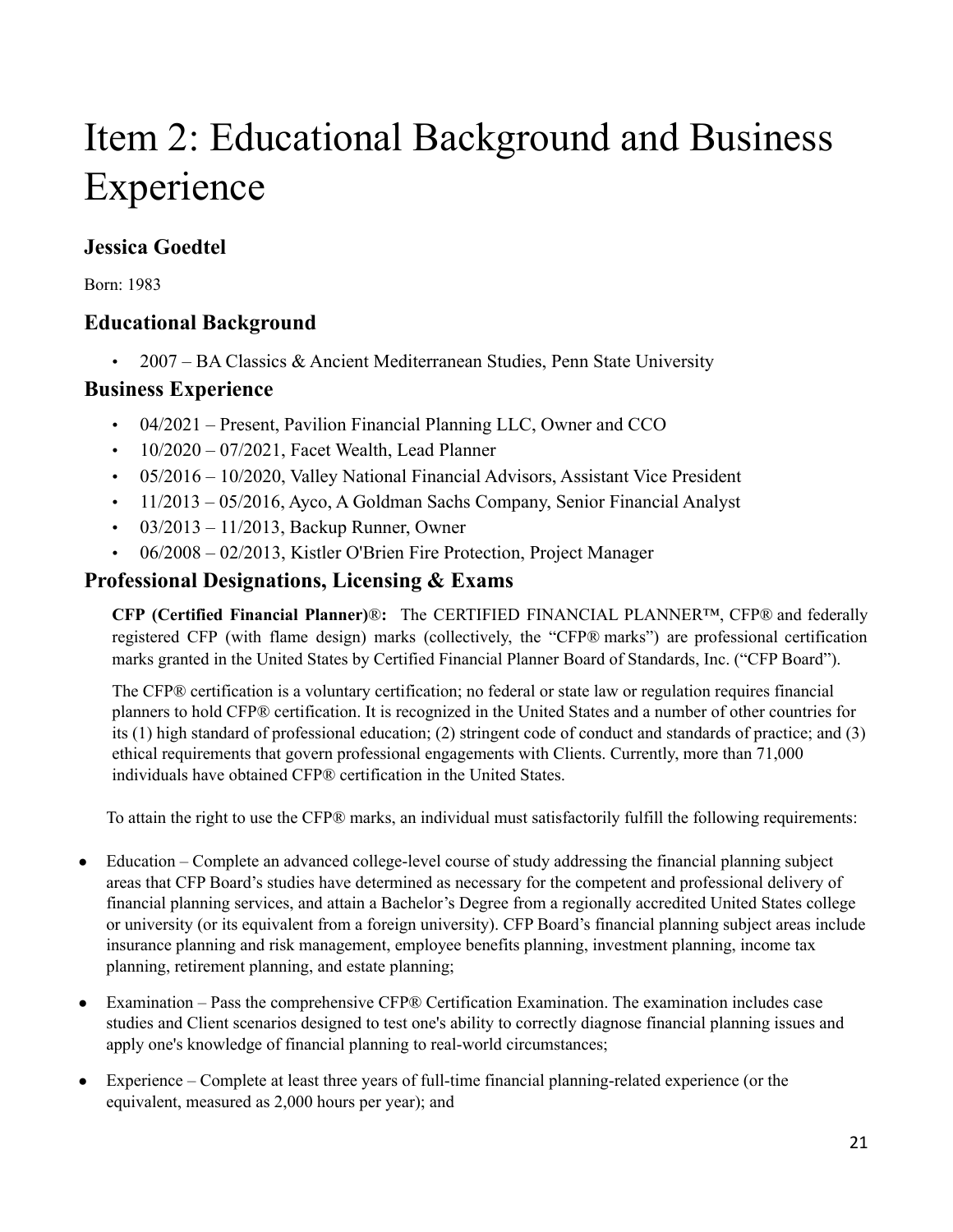# Item 2: Educational Background and Business Experience

## **Jessica Goedtel**

Born: 1983

## **Educational Background**

• 2007 – BA Classics  $&$  Ancient Mediterranean Studies, Penn State University

## **Business Experience**

- 04/2021 Present, Pavilion Financial Planning LLC, Owner and CCO
- $\cdot$  10/2020 07/2021, Facet Wealth, Lead Planner
- 05/2016 10/2020, Valley National Financial Advisors, Assistant Vice President
- 11/2013 05/2016, Ayco, A Goldman Sachs Company, Senior Financial Analyst
- $03/2013 11/2013$ , Backup Runner, Owner
- 06/2008 02/2013, Kistler O'Brien Fire Protection, Project Manager

## **Professional Designations, Licensing & Exams**

**CFP (Certified Financial Planner)**®**:** The CERTIFIED FINANCIAL PLANNER™, CFP® and federally registered CFP (with flame design) marks (collectively, the "CFP® marks") are professional certification marks granted in the United States by Certified Financial Planner Board of Standards, Inc. ("CFP Board").

The CFP® certification is a voluntary certification; no federal or state law or regulation requires financial planners to hold CFP® certification. It is recognized in the United States and a number of other countries for its (1) high standard of professional education; (2) stringent code of conduct and standards of practice; and (3) ethical requirements that govern professional engagements with Clients. Currently, more than 71,000 individuals have obtained CFP® certification in the United States.

To attain the right to use the CFP® marks, an individual must satisfactorily fulfill the following requirements:

- Education Complete an advanced college-level course of study addressing the financial planning subject areas that CFP Board's studies have determined as necessary for the competent and professional delivery of financial planning services, and attain a Bachelor's Degree from a regionally accredited United States college or university (or its equivalent from a foreign university). CFP Board's financial planning subject areas include insurance planning and risk management, employee benefits planning, investment planning, income tax planning, retirement planning, and estate planning;
- Examination Pass the comprehensive CFP® Certification Examination. The examination includes case studies and Client scenarios designed to test one's ability to correctly diagnose financial planning issues and apply one's knowledge of financial planning to real-world circumstances;
- Experience Complete at least three years of full-time financial planning-related experience (or the equivalent, measured as 2,000 hours per year); and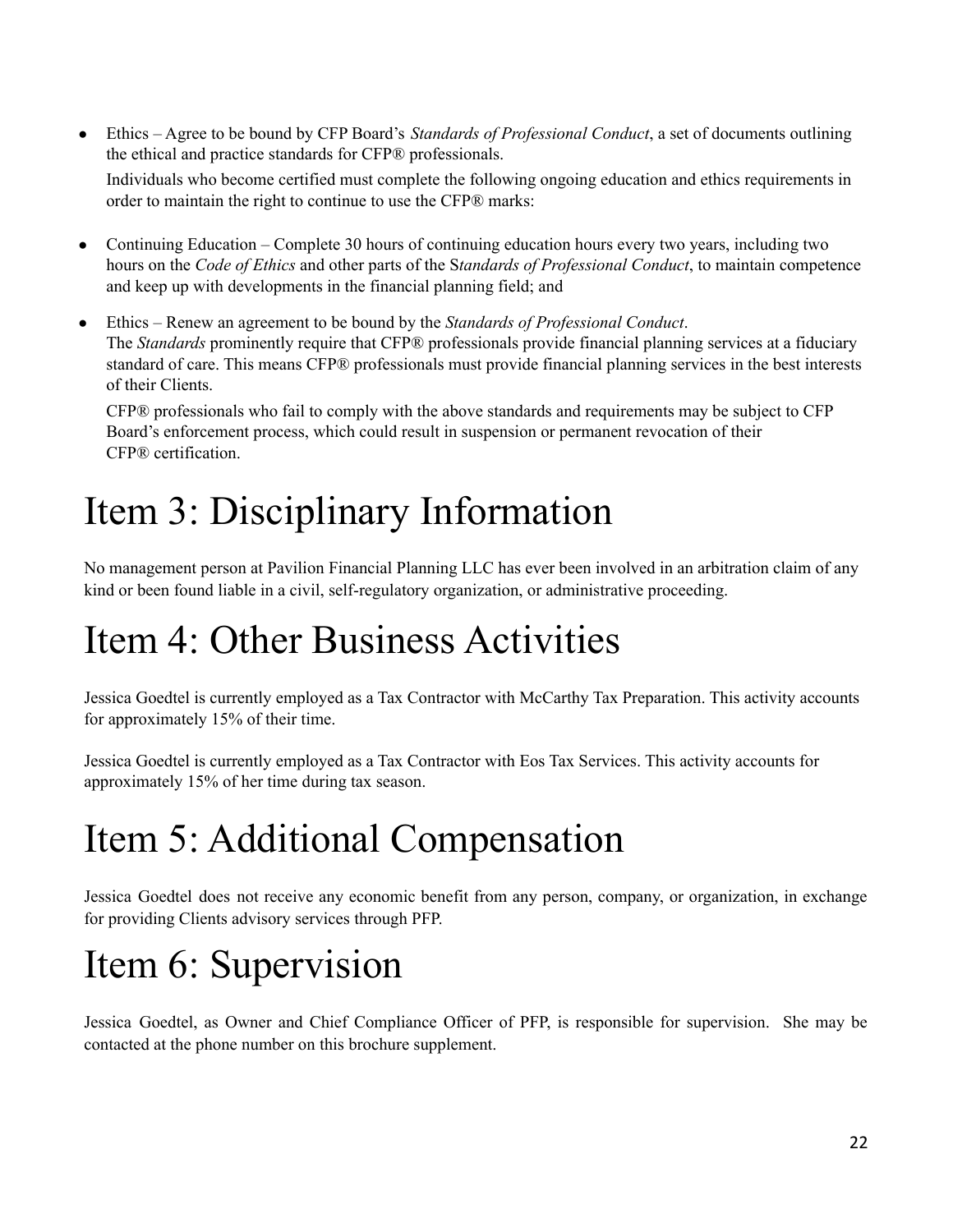- Ethics Agree to be bound by CFP Board's *Standards of Professional Conduct*, a set of documents outlining the ethical and practice standards for CFP® professionals. Individuals who become certified must complete the following ongoing education and ethics requirements in order to maintain the right to continue to use the CFP® marks:
- Continuing Education Complete 30 hours of continuing education hours every two years, including two hours on the *Code of Ethics* and other parts of the S*tandards of Professional Conduct*, to maintain competence and keep up with developments in the financial planning field; and
- Ethics Renew an agreement to be bound by the *Standards of Professional Conduct*. The *Standards* prominently require that CFP® professionals provide financial planning services at a fiduciary standard of care. This means CFP® professionals must provide financial planning services in the best interests of their Clients.

CFP® professionals who fail to comply with the above standards and requirements may be subject to CFP Board's enforcement process, which could result in suspension or permanent revocation of their CFP® certification.

# Item 3: Disciplinary Information

No management person at Pavilion Financial Planning LLC has ever been involved in an arbitration claim of any kind or been found liable in a civil, self-regulatory organization, or administrative proceeding.

# Item 4: Other Business Activities

Jessica Goedtel is currently employed as a Tax Contractor with McCarthy Tax Preparation. This activity accounts for approximately 15% of their time.

Jessica Goedtel is currently employed as a Tax Contractor with Eos Tax Services. This activity accounts for approximately 15% of her time during tax season.

# Item 5: Additional Compensation

Jessica Goedtel does not receive any economic benefit from any person, company, or organization, in exchange for providing Clients advisory services through PFP.

# Item 6: Supervision

Jessica Goedtel, as Owner and Chief Compliance Officer of PFP, is responsible for supervision. She may be contacted at the phone number on this brochure supplement.